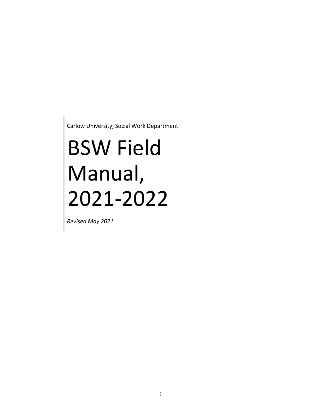Carlow University, Social Work Department

# BSW Field Manual, 2021-2022

*Revised May 2021*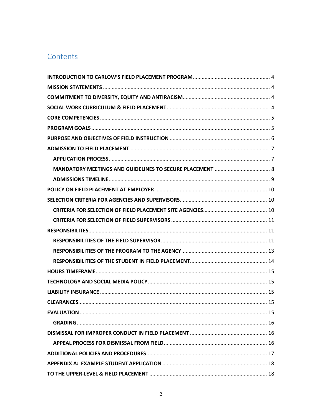# Contents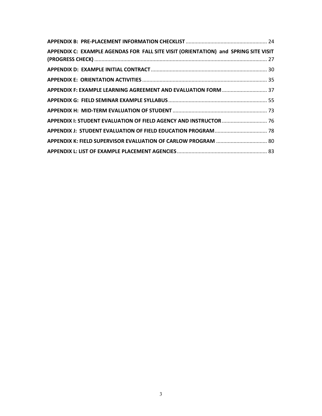| APPENDIX C: EXAMPLE AGENDAS FOR FALL SITE VISIT (ORIENTATION) and SPRING SITE VISIT |  |
|-------------------------------------------------------------------------------------|--|
|                                                                                     |  |
|                                                                                     |  |
| APPENDIX F: EXAMPLE LEARNING AGREEMENT AND EVALUATION FORM  37                      |  |
|                                                                                     |  |
|                                                                                     |  |
| APPENDIX I: STUDENT EVALUATION OF FIELD AGENCY AND INSTRUCTOR  76                   |  |
|                                                                                     |  |
| APPENDIX K: FIELD SUPERVISOR EVALUATION OF CARLOW PROGRAM  80                       |  |
|                                                                                     |  |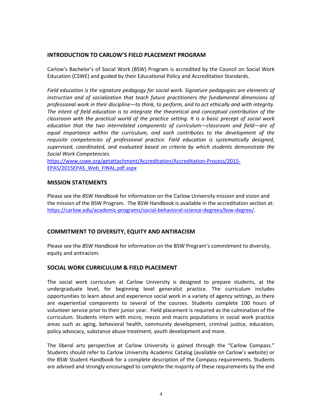#### <span id="page-3-0"></span>**INTRODUCTION TO CARLOW'S FIELD PLACEMENT PROGRAM**

Carlow's Bachelor's of Social Work (BSW) Program is accredited by the Council on Social Work Education (CSWE) and guided by their Educational Policy and Accreditation Standards.

*Field education is the signature pedagogy for social work. Signature pedagogies are elements of instruction and of socialization that teach future practitioners the fundamental dimensions of professional work in their discipline—to think, to perform, and to act ethically and with integrity. The intent of field education is to integrate the theoretical and conceptual contribution of the classroom with the practical world of the practice setting. It is a basic precept of social work education that the two interrelated components of curriculum—classroom and field—are of*  equal importance within the curriculum, and each contributes to the development of the *requisite competencies of professional practice. Field education is systematically designed, supervised, coordinated, and evaluated based on criteria by which students demonstrate the Social Work Competencies.*

[https://www.cswe.org/getattachment/Accreditation/Accreditation-Process/2015-](https://www.cswe.org/getattachment/Accreditation/Accreditation-Process/2015-EPAS/2015EPAS_Web_FINAL.pdf.aspx) [EPAS/2015EPAS\\_Web\\_FINAL.pdf.aspx](https://www.cswe.org/getattachment/Accreditation/Accreditation-Process/2015-EPAS/2015EPAS_Web_FINAL.pdf.aspx)

#### <span id="page-3-1"></span>**MISSION STATEMENTS**

Please see the *BSW Handbook* for information on the Carlow University mission and vision and the mission of the BSW Program. The BSW Handbook is available in the accreditation section at: [https://carlow.edu/academic-programs/social-behavioral-science-degrees/bsw-degree/.](https://carlow.edu/academic-programs/social-behavioral-science-degrees/bsw-degree/)

#### <span id="page-3-2"></span>**COMMITMENT TO DIVERSITY, EQUITY AND ANTIRACISM**

Please see the *BSW Handbook* for information on the BSW Program's commitment to diversity, equity and antiracism.

#### <span id="page-3-3"></span>**SOCIAL WORK CURRICULUM & FIELD PLACEMENT**

The social work curriculum at Carlow University is designed to prepare students, at the undergraduate level, for beginning level generalist practice. The curriculum includes opportunities to learn about and experience social work in a variety of agency settings, as there are experiential components to several of the courses. Students complete 100 hours of volunteer service prior to their junior year. Field placement is required as the culmination of the curriculum. Students intern with micro, mezzo and macro populations in social work practice areas such as aging, behavioral health, community development, criminal justice, education, policy advocacy, substance abuse treatment, youth development and more.

The liberal arts perspective at Carlow University is gained through the "Carlow Compass." Students should refer to Carlow University Academic Catalog (available on Carlow's website) or the BSW Student Handbook for a complete description of the Compass requirements. Students are advised and strongly encouraged to complete the majority of these requirements by the end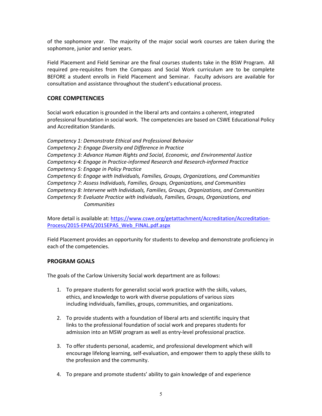of the sophomore year. The majority of the major social work courses are taken during the sophomore, junior and senior years.

Field Placement and Field Seminar are the final courses students take in the BSW Program. All required pre-requisites from the Compass and Social Work curriculum are to be complete BEFORE a student enrolls in Field Placement and Seminar. Faculty advisors are available for consultation and assistance throughout the student's educational process.

#### <span id="page-4-0"></span>**CORE COMPETENCIES**

Social work education is grounded in the liberal arts and contains a coherent, integrated professional foundation in social work. The competencies are based on CSWE Educational Policy and Accreditation Standards.

*Competency 1: Demonstrate Ethical and Professional Behavior Competency 2: Engage Diversity and Difference in Practice Competency 3: Advance Human Rights and Social, Economic, and Environmental Justice Competency 4: Engage in Practice-informed Research and Research-informed Practice Competency 5: Engage in Policy Practice Competency 6: Engage with Individuals, Families, Groups, Organizations, and Communities Competency 7: Assess Individuals, Families, Groups, Organizations, and Communities Competency 8: Intervene with Individuals, Families, Groups, Organizations, and Communities Competency 9: Evaluate Practice with Individuals, Families, Groups, Organizations, and Communities*

More detail is available at[: https://www.cswe.org/getattachment/Accreditation/Accreditation-](https://www.cswe.org/getattachment/Accreditation/Accreditation-Process/2015-EPAS/2015EPAS_Web_FINAL.pdf.aspx)[Process/2015-EPAS/2015EPAS\\_Web\\_FINAL.pdf.aspx](https://www.cswe.org/getattachment/Accreditation/Accreditation-Process/2015-EPAS/2015EPAS_Web_FINAL.pdf.aspx)

Field Placement provides an opportunity for students to develop and demonstrate proficiency in each of the competencies.

#### <span id="page-4-1"></span>**PROGRAM GOALS**

The goals of the Carlow University Social work department are as follows:

- 1. To prepare students for generalist social work practice with the skills, values, ethics, and knowledge to work with diverse populations of various sizes including individuals, families, groups, communities, and organizations.
- 2. To provide students with a foundation of liberal arts and scientific inquiry that links to the professional foundation of social work and prepares students for admission into an MSW program as well as entry-level professional practice.
- 3. To offer students personal, academic, and professional development which will encourage lifelong learning, self-evaluation, and empower them to apply these skills to the profession and the community.
- 4. To prepare and promote students' ability to gain knowledge of and experience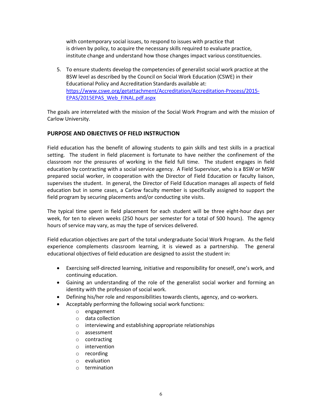with contemporary social issues, to respond to issues with practice that is driven by policy, to acquire the necessary skills required to evaluate practice, institute change and understand how those changes impact various constituencies.

5. To ensure students develop the competencies of generalist social work practice at the BSW level as described by the Council on Social Work Education (CSWE) in their Educational Policy and Accreditation Standards available at: [https://www.cswe.org/getattachment/Accreditation/Accreditation-Process/2015-](https://www.cswe.org/getattachment/Accreditation/Accreditation-Process/2015-EPAS/2015EPAS_Web_FINAL.pdf.aspx) [EPAS/2015EPAS\\_Web\\_FINAL.pdf.aspx](https://www.cswe.org/getattachment/Accreditation/Accreditation-Process/2015-EPAS/2015EPAS_Web_FINAL.pdf.aspx)

The goals are interrelated with the mission of the Social Work Program and with the mission of Carlow University.

#### <span id="page-5-0"></span>**PURPOSE AND OBJECTIVES OF FIELD INSTRUCTION**

Field education has the benefit of allowing students to gain skills and test skills in a practical setting. The student in field placement is fortunate to have neither the confinement of the classroom nor the pressures of working in the field full time. The student engages in field education by contracting with a social service agency. A Field Supervisor, who is a BSW or MSW prepared social worker, in cooperation with the Director of Field Education or faculty liaison, supervises the student. In general, the Director of Field Education manages all aspects of field education but in some cases, a Carlow faculty member is specifically assigned to support the field program by securing placements and/or conducting site visits.

The typical time spent in field placement for each student will be three eight-hour days per week, for ten to eleven weeks (250 hours per semester for a total of 500 hours). The agency hours of service may vary, as may the type of services delivered.

Field education objectives are part of the total undergraduate Social Work Program. As the field experience complements classroom learning, it is viewed as a partnership. The general educational objectives of field education are designed to assist the student in:

- Exercising self-directed learning, initiative and responsibility for oneself, one's work, and continuing education.
- Gaining an understanding of the role of the generalist social worker and forming an identity with the profession of social work.
- Defining his/her role and responsibilities towards clients, agency, and co-workers.
- Acceptably performing the following social work functions:
	- o engagement
	- o data collection
	- o interviewing and establishing appropriate relationships
	- o assessment
	- o contracting
	- o intervention
	- o recording
	- o evaluation
	- o termination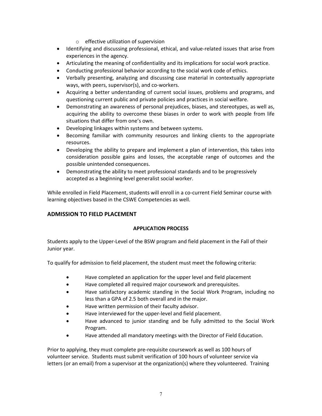- o effective utilization of supervision
- Identifying and discussing professional, ethical, and value-related issues that arise from experiences in the agency.
- Articulating the meaning of confidentiality and its implications for social work practice.
- Conducting professional behavior according to the social work code of ethics.
- Verbally presenting, analyzing and discussing case material in contextually appropriate ways, with peers, supervisor(s), and co-workers.
- Acquiring a better understanding of current social issues, problems and programs, and questioning current public and private policies and practices in social welfare.
- Demonstrating an awareness of personal prejudices, biases, and stereotypes, as well as, acquiring the ability to overcome these biases in order to work with people from life situations that differ from one's own.
- Developing linkages within systems and between systems.
- Becoming familiar with community resources and linking clients to the appropriate resources.
- Developing the ability to prepare and implement a plan of intervention, this takes into consideration possible gains and losses, the acceptable range of outcomes and the possible unintended consequences.
- Demonstrating the ability to meet professional standards and to be progressively accepted as a beginning level generalist social worker.

While enrolled in Field Placement, students will enroll in a co-current Field Seminar course with learning objectives based in the CSWE Competencies as well.

#### <span id="page-6-1"></span><span id="page-6-0"></span>**ADMISSION TO FIELD PLACEMENT**

#### **APPLICATION PROCESS**

Students apply to the Upper-Level of the BSW program and field placement in the Fall of their Junior year.

To qualify for admission to field placement, the student must meet the following criteria:

- Have completed an application for the upper level and field placement
- Have completed all required major coursework and prerequisites.
- Have satisfactory academic standing in the Social Work Program, including no less than a GPA of 2.5 both overall and in the major.
- Have written permission of their faculty advisor.
- Have interviewed for the upper-level and field placement.
- Have advanced to junior standing and be fully admitted to the Social Work Program.
- Have attended all mandatory meetings with the Director of Field Education.

Prior to applying, they must complete pre-requisite coursework as well as 100 hours of volunteer service. Students must submit verification of 100 hours of volunteer service via letters (or an email) from a supervisor at the organization(s) where they volunteered. Training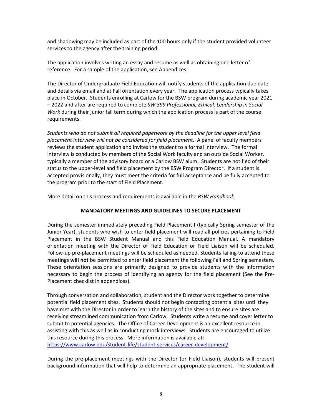and shadowing may be included as part of the 100 hours only if the student provided volunteer services to the agency after the training period.

The application involves writing an essay and resume as well as obtaining one letter of reference. For a sample of the application, see Appendices.

The Director of Undergraduate Field Education will notify students of the application due date and details via email and at Fall orientation every year. The application process typically takes place in October. Students enrolling at Carlow for the BSW program during academic year 2021 – 2022 and after are required to complete *SW 399 Professional, Ethical, Leadership in Social Work* during their junior fall term during which the application process is part of the course requirements.

*Students who do not submit all required paperwork by the deadline for the upper level field placement interview will not be considered for field placement.* A panel of faculty members reviews the student application and invites the student to a formal interview. The formal interview is conducted by members of the Social Work faculty and an outside Social Worker, typically a member of the advisory board or a Carlow BSW alum. Students are notified of their status to the upper-level and field placement by the BSW Program Director. If a student is accepted provisionally, they must meet the criteria for full acceptance and be fully accepted to the program prior to the start of Field Placement.

<span id="page-7-0"></span>More detail on this process and requirements is available in the *BSW Handbook*.

#### **MANDATORY MEETINGS AND GUIDELINES TO SECURE PLACEMENT**

During the semester immediately preceding Field Placement I (typically Spring semester of the Junior Year), students who wish to enter field placement will read all policies pertaining to Field Placement in the BSW Student Manual and this Field Education Manual. A mandatory orientation meeting with the Director of Field Education or Field Liaison will be scheduled. Follow-up pre-placement meetings will be scheduled as needed. Students failing to attend these meetings **will not** be permitted to enter field placement the following Fall and Spring semesters. These orientation sessions are primarily designed to provide students with the information necessary to begin the process of identifying an agency for the field placement (See the Pre-Placement checklist in appendices).

Through conversation and collaboration, student and the Director work together to determine potential field placement sites. Students should not begin contacting potential sites until they have met with the Director in order to learn the history of the sites and to ensure sites are receiving streamlined communication from Carlow. Students write a resume and cover letter to submit to potential agencies. The Office of Career Development is an excellent resource in assisting with this as well as in conducting mock interviews. Students are encouraged to utilize this resource during this process. More information is available at:

<https://www.carlow.edu/student-life/student-services/career-development/>

During the pre-placement meetings with the Director (or Field Liaison), students will present background information that will help to determine an appropriate placement. The student will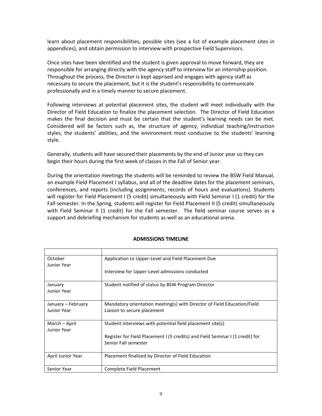learn about placement responsibilities, possible sites (see a list of example placement sites in appendices), and obtain permission to interview with prospective Field Supervisors.

Once sites have been identified and the student is given approval to move forward, they are responsible for arranging directly with the agency staff to interview for an internship position. Throughout the process, the Director is kept apprised and engages with agency staff as necessary to secure the placement, but it is the student's responsibility to communicate professionally and in a timely manner to secure placement.

Following interviews at potential placement sites, the student will meet individually with the Director of Field Education to finalize the placement selection. The Director of Field Education makes the final decision and must be certain that the student's learning needs can be met. Considered will be factors such as, the structure of agency, individual teaching/instruction styles, the students' abilities, and the environment most conducive to the students' learning style.

Generally, students will have secured their placements by the end of Junior year so they can begin their hours during the first week of classes in the Fall of Senior year.

During the orientation meetings the students will be reminded to review the BSW Field Manual, an example Field Placement I syllabus, and all of the deadline dates for the placement seminars, conferences, and reports (including assignments, records of hours and evaluations). Students will register for Field Placement I (5 credit) simultaneously with Field Seminar I (1 credit) for the Fall semester. In the Spring, students will register for Field Placement II (5 credit) simultaneously with Field Seminar II (1 credit) for the Fall semester. The field seminar course serves as a support and debriefing mechanism for students as well as an educational arena.

<span id="page-8-0"></span>

| October<br>Junior Year       | Application to Upper-Level and Field Placement Due                                                    |  |
|------------------------------|-------------------------------------------------------------------------------------------------------|--|
|                              | Interview for Upper-Level admissions conducted                                                        |  |
| January<br>Junior Year       | Student notified of status by BSW Program Director                                                    |  |
| January – February           | Mandatory orientation meeting(s) with Director of Field Education/Field                               |  |
| Junior Year                  | Liaison to secure placement                                                                           |  |
| March – April<br>Junior Year | Student interviews with potential field placement site(s)                                             |  |
|                              | Register for Field Placement I (5 credits) and Field Seminar I (1 credit) for<br>Senior Fall semester |  |
| April Junior Year            | Placement finalized by Director of Field Education                                                    |  |
| Senior Year                  | Complete Field Placement                                                                              |  |

#### **ADMISSIONS TIMELINE**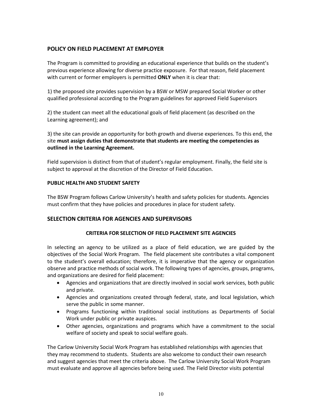## <span id="page-9-0"></span>**POLICY ON FIELD PLACEMENT AT EMPLOYER**

The Program is committed to providing an educational experience that builds on the student's previous experience allowing for diverse practice exposure. For that reason, field placement with current or former employers is permitted **ONLY** when it is clear that:

1) the proposed site provides supervision by a BSW or MSW prepared Social Worker or other qualified professional according to the Program guidelines for approved Field Supervisors

2) the student can meet all the educational goals of field placement (as described on the Learning agreement); and

3) the site can provide an opportunity for both growth and diverse experiences. To this end, the site **must assign duties that demonstrate that students are meeting the competencies as outlined in the Learning Agreement.**

Field supervision is distinct from that of student's regular employment. Finally, the field site is subject to approval at the discretion of the Director of Field Education.

#### **PUBLIC HEALTH AND STUDENT SAFETY**

The BSW Program follows Carlow University's health and safety policies for students. Agencies must confirm that they have policies and procedures in place for student safety.

#### <span id="page-9-2"></span><span id="page-9-1"></span>**SELECTION CRITERIA FOR AGENCIES AND SUPERVISORS**

#### **CRITERIA FOR SELECTION OF FIELD PLACEMENT SITE AGENCIES**

In selecting an agency to be utilized as a place of field education, we are guided by the objectives of the Social Work Program. The field placement site contributes a vital component to the student's overall education; therefore, it is imperative that the agency or organization observe and practice methods of social work. The following types of agencies, groups, programs, and organizations are desired for field placement:

- Agencies and organizations that are directly involved in social work services, both public and private.
- Agencies and organizations created through federal, state, and local legislation, which serve the public in some manner.
- Programs functioning within traditional social institutions as Departments of Social Work under public or private auspices.
- Other agencies, organizations and programs which have a commitment to the social welfare of society and speak to social welfare goals.

The Carlow University Social Work Program has established relationships with agencies that they may recommend to students. Students are also welcome to conduct their own research and suggest agencies that meet the criteria above. The Carlow University Social Work Program must evaluate and approve all agencies before being used. The Field Director visits potential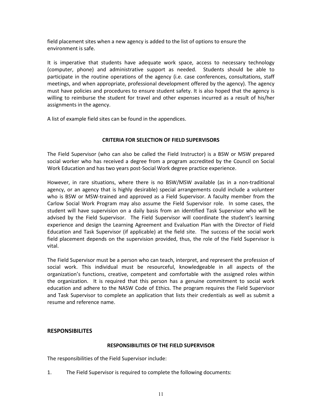field placement sites when a new agency is added to the list of options to ensure the environment is safe.

It is imperative that students have adequate work space, access to necessary technology (computer, phone) and administrative support as needed. Students should be able to participate in the routine operations of the agency (i.e. case conferences, consultations, staff meetings, and when appropriate, professional development offered by the agency). The agency must have policies and procedures to ensure student safety. It is also hoped that the agency is willing to reimburse the student for travel and other expenses incurred as a result of his/her assignments in the agency.

A list of example field sites can be found in the appendices.

#### **CRITERIA FOR SELECTION OF FIELD SUPERVISORS**

<span id="page-10-0"></span>The Field Supervisor (who can also be called the Field Instructor) is a BSW or MSW prepared social worker who has received a degree from a program accredited by the Council on Social Work Education and has two years post-Social Work degree practice experience.

However, in rare situations, where there is no BSW/MSW available (as in a non-traditional agency, or an agency that is highly desirable) special arrangements could include a volunteer who is BSW or MSW-trained and approved as a Field Supervisor. A faculty member from the Carlow Social Work Program may also assume the Field Supervisor role. In some cases, the student will have supervision on a daily basis from an identified Task Supervisor who will be advised by the Field Supervisor. The Field Supervisor will coordinate the student's learning experience and design the Learning Agreement and Evaluation Plan with the Director of Field Education and Task Supervisor (if applicable) at the field site. The success of the social work field placement depends on the supervision provided, thus, the role of the Field Supervisor is vital.

The Field Supervisor must be a person who can teach, interpret, and represent the profession of social work. This individual must be resourceful, knowledgeable in all aspects of the organization's functions, creative, competent and comfortable with the assigned roles within the organization. It is required that this person has a genuine commitment to social work education and adhere to the NASW Code of Ethics. The program requires the Field Supervisor and Task Supervisor to complete an application that lists their credentials as well as submit a resume and reference name.

#### <span id="page-10-1"></span>**RESPONSIBILITES**

#### **RESPONSIBILITIES OF THE FIELD SUPERVISOR**

<span id="page-10-2"></span>The responsibilities of the Field Supervisor include:

1. The Field Supervisor is required to complete the following documents: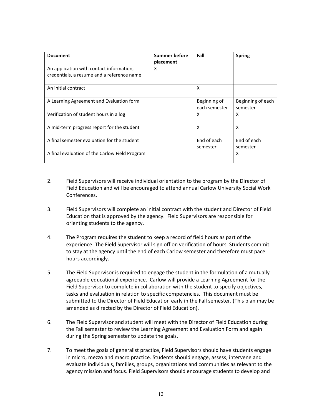| <b>Document</b>                                                                        | Summer before<br>placement | Fall                          | <b>Spring</b>                 |
|----------------------------------------------------------------------------------------|----------------------------|-------------------------------|-------------------------------|
| An application with contact information,<br>credentials, a resume and a reference name | X                          |                               |                               |
| An initial contract                                                                    |                            | X                             |                               |
| A Learning Agreement and Evaluation form                                               |                            | Beginning of<br>each semester | Beginning of each<br>semester |
| Verification of student hours in a log                                                 |                            | X                             | X                             |
| A mid-term progress report for the student                                             |                            | X                             | X                             |
| A final semester evaluation for the student                                            |                            | End of each<br>semester       | End of each<br>semester       |
| A final evaluation of the Carlow Field Program                                         |                            |                               | X                             |

- 2. Field Supervisors will receive individual orientation to the program by the Director of Field Education and will be encouraged to attend annual Carlow University Social Work Conferences.
- 3. Field Supervisors will complete an initial contract with the student and Director of Field Education that is approved by the agency. Field Supervisors are responsible for orienting students to the agency.
- 4. The Program requires the student to keep a record of field hours as part of the experience. The Field Supervisor will sign off on verification of hours. Students commit to stay at the agency until the end of each Carlow semester and therefore must pace hours accordingly.
- 5. The Field Supervisor is required to engage the student in the formulation of a mutually agreeable educational experience. Carlow will provide a Learning Agreement for the Field Supervisor to complete in collaboration with the student to specify objectives, tasks and evaluation in relation to specific competencies. This document must be submitted to the Director of Field Education early in the Fall semester. (This plan may be amended as directed by the Director of Field Education).
- 6. The Field Supervisor and student will meet with the Director of Field Education during the Fall semester to review the Learning Agreement and Evaluation Form and again during the Spring semester to update the goals.
- 7. To meet the goals of generalist practice, Field Supervisors should have students engage in micro, mezzo and macro practice. Students should engage, assess, intervene and evaluate individuals, families, groups, organizations and communities as relevant to the agency mission and focus. Field Supervisors should encourage students to develop and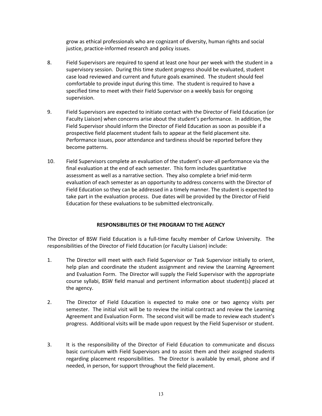grow as ethical professionals who are cognizant of diversity, human rights and social justice, practice-informed research and policy issues.

- 8. Field Supervisors are required to spend at least one hour per week with the student in a supervisory session. During this time student progress should be evaluated, student case load reviewed and current and future goals examined. The student should feel comfortable to provide input during this time. The student is required to have a specified time to meet with their Field Supervisor on a weekly basis for ongoing supervision.
- 9. Field Supervisors are expected to initiate contact with the Director of Field Education (or Faculty Liaison) when concerns arise about the student's performance. In addition, the Field Supervisor should inform the Director of Field Education as soon as possible if a prospective field placement student fails to appear at the field placement site. Performance issues, poor attendance and tardiness should be reported before they become patterns.
- 10. Field Supervisors complete an evaluation of the student's over-all performance via the final evaluation at the end of each semester. This form includes quantitative assessment as well as a narrative section. They also complete a brief mid-term evaluation of each semester as an opportunity to address concerns with the Director of Field Education so they can be addressed in a timely manner. The student is expected to take part in the evaluation process. Due dates will be provided by the Director of Field Education for these evaluations to be submitted electronically.

#### **RESPONSIBILITIES OF THE PROGRAM TO THE AGENCY**

<span id="page-12-0"></span>The Director of BSW Field Education is a full-time faculty member of Carlow University. The responsibilities of the Director of Field Education (or Faculty Liaison) include:

- 1. The Director will meet with each Field Supervisor or Task Supervisor initially to orient, help plan and coordinate the student assignment and review the Learning Agreement and Evaluation Form. The Director will supply the Field Supervisor with the appropriate course syllabi, BSW field manual and pertinent information about student(s) placed at the agency.
- 2. The Director of Field Education is expected to make one or two agency visits per semester. The initial visit will be to review the initial contract and review the Learning Agreement and Evaluation Form. The second visit will be made to review each student's progress. Additional visits will be made upon request by the Field Supervisor or student.
- 3. It is the responsibility of the Director of Field Education to communicate and discuss basic curriculum with Field Supervisors and to assist them and their assigned students regarding placement responsibilities. The Director is available by email, phone and if needed, in person, for support throughout the field placement.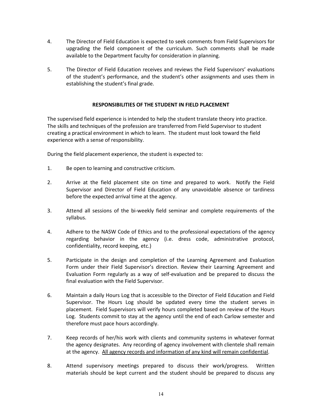- 4. The Director of Field Education is expected to seek comments from Field Supervisors for upgrading the field component of the curriculum. Such comments shall be made available to the Department faculty for consideration in planning.
- 5. The Director of Field Education receives and reviews the Field Supervisors' evaluations of the student's performance, and the student's other assignments and uses them in establishing the student's final grade.

#### **RESPONSIBILITIES OF THE STUDENT IN FIELD PLACEMENT**

<span id="page-13-0"></span>The supervised field experience is intended to help the student translate theory into practice. The skills and techniques of the profession are transferred from Field Supervisor to student creating a practical environment in which to learn. The student must look toward the field experience with a sense of responsibility.

During the field placement experience, the student is expected to:

- 1. Be open to learning and constructive criticism.
- 2. Arrive at the field placement site on time and prepared to work. Notify the Field Supervisor and Director of Field Education of any unavoidable absence or tardiness before the expected arrival time at the agency.
- 3. Attend all sessions of the bi-weekly field seminar and complete requirements of the syllabus.
- 4. Adhere to the NASW Code of Ethics and to the professional expectations of the agency regarding behavior in the agency (i.e. dress code, administrative protocol, confidentiality, record keeping, etc.)
- 5. Participate in the design and completion of the Learning Agreement and Evaluation Form under their Field Supervisor's direction. Review their Learning Agreement and Evaluation Form regularly as a way of self-evaluation and be prepared to discuss the final evaluation with the Field Supervisor.
- 6. Maintain a daily Hours Log that is accessible to the Director of Field Education and Field Supervisor. The Hours Log should be updated every time the student serves in placement. Field Supervisors will verify hours completed based on review of the Hours Log. Students commit to stay at the agency until the end of each Carlow semester and therefore must pace hours accordingly.
- 7. Keep records of her/his work with clients and community systems in whatever format the agency designates. Any recording of agency involvement with clientele shall remain at the agency. All agency records and information of any kind will remain confidential.
- 8. Attend supervisory meetings prepared to discuss their work/progress. Written materials should be kept current and the student should be prepared to discuss any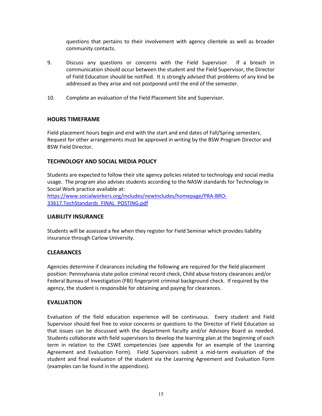questions that pertains to their involvement with agency clientele as well as broader community contacts.

- 9. Discuss any questions or concerns with the Field Supervisor. If a breach in communication should occur between the student and the Field Supervisor, the Director of Field Education should be notified. It is strongly advised that problems of any kind be addressed as they arise and not postponed until the end of the semester.
- 10. Complete an evaluation of the Field Placement Site and Supervisor.

#### <span id="page-14-0"></span>**HOURS TIMEFRAME**

Field placement hours begin and end with the start and end dates of Fall/Spring semesters. Request for other arrangements must be approved in writing by the BSW Program Director and BSW Field Director.

## <span id="page-14-1"></span>**TECHNOLOGY AND SOCIAL MEDIA POLICY**

Students are expected to follow their site agency policies related to technology and social media usage. The program also advises students according to the NASW standards for Technology in Social Work practice available at:

[https://www.socialworkers.org/includes/newIncludes/homepage/PRA-BRO-](https://www.socialworkers.org/includes/newIncludes/homepage/PRA-BRO-33617.TechStandards_FINAL_POSTING.pdf)[33617.TechStandards\\_FINAL\\_POSTING.pdf](https://www.socialworkers.org/includes/newIncludes/homepage/PRA-BRO-33617.TechStandards_FINAL_POSTING.pdf)

#### <span id="page-14-2"></span>**LIABILITY INSURANCE**

Students will be assessed a fee when they register for Field Seminar which provides liability insurance through Carlow University.

#### <span id="page-14-3"></span>**CLEARANCES**

Agencies determine if clearances including the following are required for the field placement position: Pennsylvania state police criminal record check, Child abuse history clearances and/or Federal Bureau of Investigation (FBI) fingerprint criminal background check. If required by the agency, the student is responsible for obtaining and paying for clearances.

#### <span id="page-14-4"></span>**EVALUATION**

Evaluation of the field education experience will be continuous. Every student and Field Supervisor should feel free to voice concerns or questions to the Director of Field Education so that issues can be discussed with the department faculty and/or Advisory Board as needed. Students collaborate with field supervisors to develop the learning plan at the beginning of each term in relation to the CSWE competencies (see appendix for an example of the Learning Agreement and Evaluation Form). Field Supervisors submit a mid-term evaluation of the student and final evaluation of the student via the Learning Agreement and Evaluation Form (examples can be found in the appendices).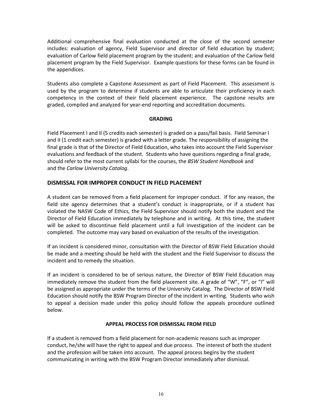Additional comprehensive final evaluation conducted at the close of the second semester includes: evaluation of agency, Field Supervisor and director of field education by student; evaluation of Carlow field placement program by the student; and evaluation of the Carlow field placement program by the Field Supervisor. Example questions for these forms can be found in the appendices.

Students also complete a Capstone Assessment as part of Field Placement. This assessment is used by the program to determine if students are able to articulate their proficiency in each competency in the context of their field placement experience. The capstone results are graded, compiled and analyzed for year-end reporting and accreditation documents.

#### **GRADING**

<span id="page-15-0"></span>Field Placement I and II (5 credits each semester) is graded on a pass/fail basis. Field Seminar I and II (1 credit each semester) is graded with a letter grade. The responsibility of assigning the final grade is that of the Director of Field Education, who takes into account the Field Supervisor evaluations and feedback of the student. Students who have questions regarding a final grade, should refer to the most current syllabi for the courses, the *BSW Student Handbook* and and the *Carlow University Catalog*.

#### <span id="page-15-1"></span>**DISMISSAL FOR IMPROPER CONDUCT IN FIELD PLACEMENT**

A student can be removed from a field placement for improper conduct. If for any reason, the field site agency determines that a student's conduct is inappropriate, or if a student has violated the NASW Code of Ethics, the Field Supervisor should notify both the student and the Director of Field Education immediately by telephone and in writing. At this time, the student will be asked to discontinue field placement until a full investigation of the incident can be completed. The outcome may vary based on evaluation of the results of the investigation.

If an incident is considered minor, consultation with the Director of BSW Field Education should be made and a meeting should be held with the student and the Field Supervisor to discuss the incident and to remedy the situation.

If an incident is considered to be of serious nature, the Director of BSW Field Education may immediately remove the student from the field placement site. A grade of "W", "F", or "I" will be assigned as appropriate under the terms of the University Catalog. The Director of BSW Field Education should notify the BSW Program Director of the incident in writing. Students who wish to appeal a decision made under this policy should follow the appeals procedure outlined below.

#### **APPEAL PROCESS FOR DISMISSAL FROM FIELD**

<span id="page-15-2"></span>If a student is removed from a field placement for non-academic reasons such as improper conduct, he/she will have the right to appeal and due process. The interest of both the student and the profession will be taken into account. The appeal process begins by the student communicating in writing with the BSW Program Director immediately after dismissal.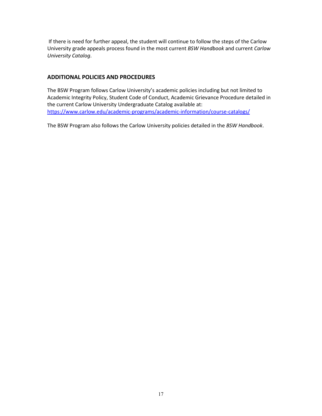If there is need for further appeal, the student will continue to follow the steps of the Carlow University grade appeals process found in the most current *BSW Handbook* and current *Carlow University Catalog*.

#### <span id="page-16-0"></span>**ADDITIONAL POLICIES AND PROCEDURES**

The BSW Program follows Carlow University's academic policies including but not limited to Academic Integrity Policy, Student Code of Conduct, Academic Grievance Procedure detailed in the current Carlow University Undergraduate Catalog available at: <https://www.carlow.edu/academic-programs/academic-information/course-catalogs/>

The BSW Program also follows the Carlow University policies detailed in the *BSW Handbook*.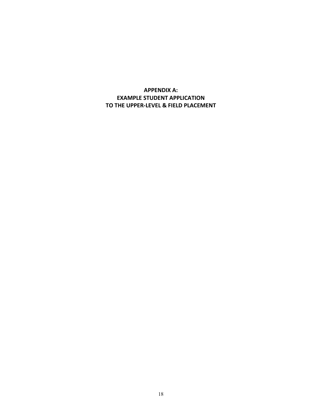## <span id="page-17-1"></span><span id="page-17-0"></span>**APPENDIX A: EXAMPLE STUDENT APPLICATION TO THE UPPER-LEVEL & FIELD PLACEMENT**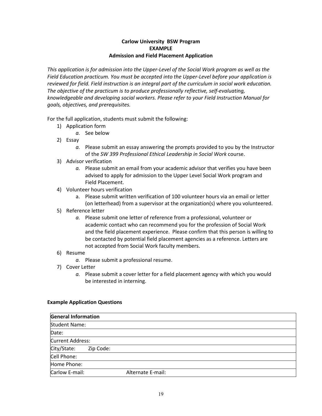#### **Carlow University BSW Program EXAMPLE Admission and Field Placement Application**

*This application is for admission into the Upper-Level of the Social Work program as well as the Field Education practicum. You must be accepted into the Upper-Level before your application is reviewed for field. Field instruction is an integral part of the curriculum in social work education. The objective of the practicum is to produce professionally reflective, self-evaluating, knowledgeable and developing social workers. Please refer to your Field Instruction Manual for goals, objectives, and prerequisites.*

For the full application, students must submit the following:

- 1) Application form
	- *a.* See below
- 2) Essay
	- *a.* Please submit an essay answering the prompts provided to you by the Instructor of the *SW 399 Professional Ethical Leadership in Social Work* course.
- 3) Advisor verification
	- *a.* Please submit an email from your academic advisor that verifies you have been advised to apply for admission to the Upper Level Social Work program and Field Placement.
- 4) Volunteer hours verification
	- a. Please submit written verification of 100 volunteer hours via an email or letter (on letterhead) from a supervisor at the organization(s) where you volunteered.
- 5) Reference letter
	- *a.* Please submit one letter of reference from a professional, volunteer or academic contact who can recommend you for the profession of Social Work and the field placement experience. Please confirm that this person is willing to be contacted by potential field placement agencies as a reference. Letters are not accepted from Social Work faculty members.
- 6) Resume
	- *a.* Please submit a professional resume.
- 7) Cover Letter
	- *a.* Please submit a cover letter for a field placement agency with which you would be interested in interning.

#### **Example Application Questions**

| <b>General Information</b> |           |                   |  |
|----------------------------|-----------|-------------------|--|
| <b>Student Name:</b>       |           |                   |  |
| Date:                      |           |                   |  |
| Current Address:           |           |                   |  |
| City/State:                | Zip Code: |                   |  |
| Cell Phone:                |           |                   |  |
| Home Phone:                |           |                   |  |
| Carlow E-mail:             |           | Alternate E-mail: |  |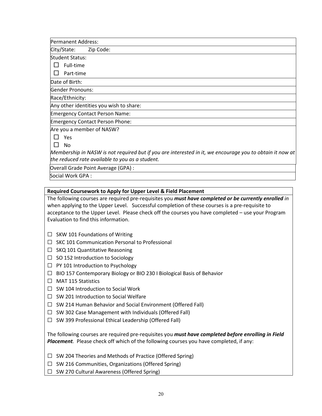Permanent Address: City/State: Zip Code: Student Status:  $\Box$  Full-time  $\Box$  Part-time Date of Birth: Gender Pronouns: Race/Ethnicity: Any other identities you wish to share: Emergency Contact Person Name: Emergency Contact Person Phone: Are you a member of NASW? □ Yes □ No *Membership in NASW is not required but if you are interested in it, we encourage you to obtain it now at* 

*the reduced rate available to you as a student.*

Overall Grade Point Average (GPA) :

Social Work GPA :

#### **Required Coursework to Apply for Upper Level & Field Placement**

The following courses are required pre-requisites you *must have completed or be currently enrolled in* when applying to the Upper Level. Successful completion of these courses is a pre-requisite to acceptance to the Upper Level. Please check off the courses you have completed – use your Program Evaluation to find this information.

- $\Box$  SKW 101 Foundations of Writing
- ☐ SKC 101 Communication Personal to Professional
- $\Box$  SKQ 101 Quantitative Reasoning
- $\Box$  SO 152 Introduction to Sociology
- ☐ PY 101 Introduction to Psychology
- ☐ BIO 157 Contemporary Biology or BIO 230 I Biological Basis of Behavior
- ☐ MAT 115 Statistics
- ☐ SW 104 Introduction to Social Work
- ☐ SW 201 Introduction to Social Welfare
- □ SW 214 Human Behavior and Social Environment (Offered Fall)
- $\Box$  SW 302 Case Management with Individuals (Offered Fall)
- ☐ SW 399 Professional Ethical Leadership (Offered Fall)

The following courses are required pre-requisites you *must have completed before enrolling in Field Placement.* Please check off which of the following courses you have completed, if any:

☐ SW 204 Theories and Methods of Practice (Offered Spring)

- ☐ SW 216 Communities, Organizations (Offered Spring)
- ☐ SW 270 Cultural Awareness (Offered Spring)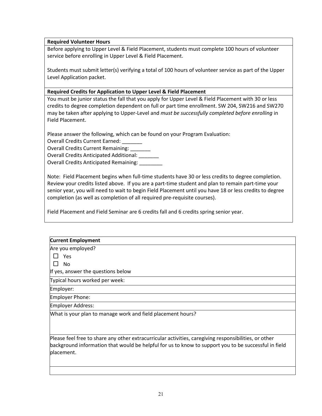#### **Required Volunteer Hours**

Before applying to Upper Level & Field Placement, students must complete 100 hours of volunteer service before enrolling in Upper Level & Field Placement.

Students must submit letter(s) verifying a total of 100 hours of volunteer service as part of the Upper Level Application packet.

#### **Required Credits for Application to Upper Level & Field Placement**

You must be junior status the fall that you apply for Upper Level & Field Placement with 30 or less credits to degree completion dependent on full or part time enrollment. SW 204, SW216 and SW270 may be taken after applying to Upper-Level and *must be successfully completed before enrolling* in Field Placement.

Please answer the following, which can be found on your Program Evaluation:

Overall Credits Current Earned: \_\_\_\_\_\_\_

Overall Credits Current Remaining:

Overall Credits Anticipated Additional: \_\_\_\_\_\_\_

Overall Credits Anticipated Remaining: \_\_\_\_\_\_\_\_

Note: Field Placement begins when full-time students have 30 or less credits to degree completion. Review your credits listed above. If you are a part-time student and plan to remain part-time your senior year, you will need to wait to begin Field Placement until you have 18 or less credits to degree completion (as well as completion of all required pre-requisite courses).

Field Placement and Field Seminar are 6 credits fall and 6 credits spring senior year.

## **Current Employment** Are you employed? □ Yes □ No If yes, answer the questions below Typical hours worked per week: Employer: Employer Phone: Employer Address: What is your plan to manage work and field placement hours? Please feel free to share any other extracurricular activities, caregiving responsibilities, or other background information that would be helpful for us to know to support you to be successful in field placement.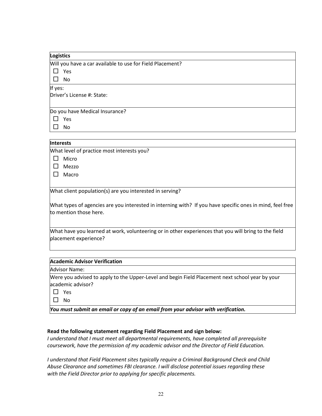| Logistics                                                 |
|-----------------------------------------------------------|
| Will you have a car available to use for Field Placement? |
| Yes                                                       |
| No                                                        |
| If yes:                                                   |
| Driver's License #: State:                                |
|                                                           |
| Do you have Medical Insurance?                            |
| Yes                                                       |
| No                                                        |

#### **Interests**

What level of practice most interests you?

□ Micro

□ Mezzo

□ Macro

What client population(s) are you interested in serving?

What types of agencies are you interested in interning with? If you have specific ones in mind, feel free to mention those here.

What have you learned at work, volunteering or in other experiences that you will bring to the field placement experience?

#### **Academic Advisor Verification**

Advisor Name:

Were you advised to apply to the Upper-Level and begin Field Placement next school year by your academic advisor?

□ Yes

□ No

*You must submit an email or copy of an email from your advisor with verification.*

#### **Read the following statement regarding Field Placement and sign below:**

*I understand that I must meet all departmental requirements, have completed all prerequisite coursework, have the permission of my academic advisor and the Director of Field Education.* 

*I understand that Field Placement sites typically require a Criminal Background Check and Child Abuse Clearance and sometimes FBI clearance. I will disclose potential issues regarding these with the Field Director prior to applying for specific placements.*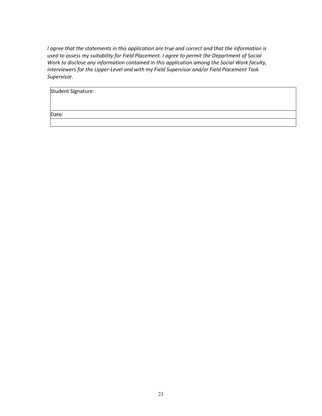*I agree that the statements in this application are true and correct and that the information is used to assess my suitability for Field Placement. I agree to permit the Department of Social Work to disclose any information contained in this application among the Social Work faculty, interviewers for the Upper-Level and with my Field Supervisor and/or Field Placement Task Supervisor.*

| Student Signature: |  |  |  |
|--------------------|--|--|--|
|                    |  |  |  |
| Date:              |  |  |  |
|                    |  |  |  |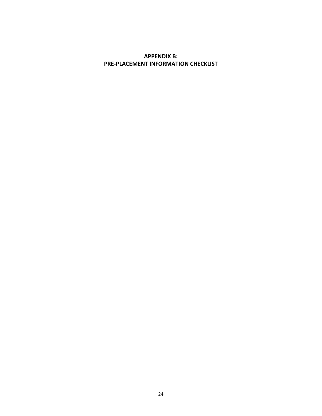## <span id="page-23-0"></span>**APPENDIX B: PRE-PLACEMENT INFORMATION CHECKLIST**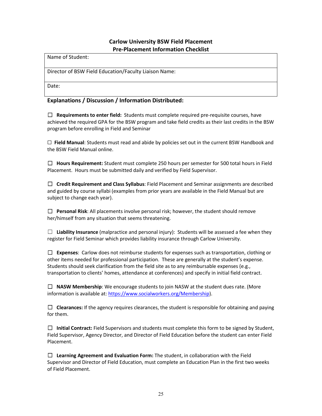## **Carlow University BSW Field Placement Pre-Placement Information Checklist**

Name of Student:

Director of BSW Field Education/Faculty Liaison Name:

Date:

#### **Explanations / Discussion / Information Distributed:**

☐ **Requirements to enter field:** Students must complete required pre-requisite courses, have achieved the required GPA for the BSW program and take field credits as their last credits in the BSW program before enrolling in Field and Seminar

☐ **Field Manual**: Students must read and abide by policies set out in the current BSW Handbook and the BSW Field Manual online.

☐ **Hours Requirement:** Student must complete 250 hours per semester for 500 total hours in Field Placement. Hours must be submitted daily and verified by Field Supervisor.

☐ **Credit Requirement and Class Syllabus**: Field Placement and Seminar assignments are described and guided by course syllabi (examples from prior years are available in the Field Manual but are subject to change each year).

☐ **Personal Risk**: All placements involve personal risk; however, the student should remove her/himself from any situation that seems threatening.

 $\Box$  **Liability Insurance** (malpractice and personal injury): Students will be assessed a fee when they register for Field Seminar which provides liability insurance through Carlow University.

☐ **Expenses**: Carlow does not reimburse students for expenses such as transportation, clothing or other items needed for professional participation. These are generally at the student's expense. Students should seek clarification from the field site as to any reimbursable expenses (e.g., transportation to clients' homes, attendance at conferences) and specify in initial field contract.

☐ **NASW Membership**: We encourage students to join NASW at the student dues rate. (More information is available at: [https://www.socialworkers.org/Membership\)](https://www.socialworkers.org/Membership).

☐ **Clearances:** If the agency requires clearances, the student is responsible for obtaining and paying for them.

☐ **Initial Contract:** Field Supervisors and students must complete this form to be signed by Student, Field Supervisor, Agency Director, and Director of Field Education before the student can enter Field Placement.

☐ **Learning Agreement and Evaluation Form:** The student, in collaboration with the Field Supervisor and Director of Field Education, must complete an Education Plan in the first two weeks of Field Placement.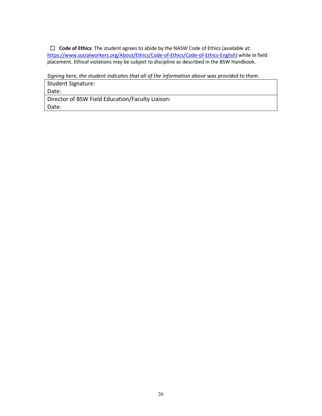☐ **Code of Ethics**: The student agrees to abide by the NASW Code of Ethics (available at: [https://www.socialworkers.org/About/Ethics/Code-of-Ethics/Code-of-Ethics-English\)](https://www.socialworkers.org/About/Ethics/Code-of-Ethics/Code-of-Ethics-English) while in field placement. Ethical violations may be subject to discipline as described in the BSW Handbook.

*Signing here, the student indicates that all of the information above was provided to them.*

Student Signature:

Date:

Director of BSW Field Education/Faculty Liaison: Date: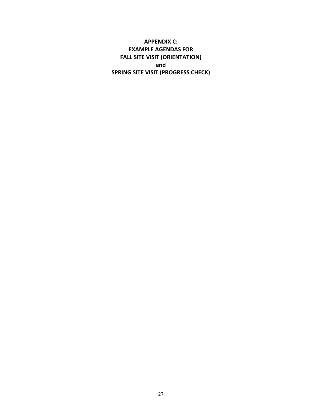<span id="page-26-0"></span>**APPENDIX C: EXAMPLE AGENDAS FOR FALL SITE VISIT (ORIENTATION) and SPRING SITE VISIT (PROGRESS CHECK)**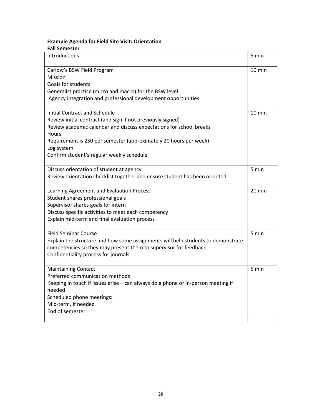## **Example Agenda for Field Site Visit: Orientation**

| Introductions                                                                    | 5 min            |
|----------------------------------------------------------------------------------|------------------|
| Carlow's BSW Field Program                                                       | 10 min           |
| Mission                                                                          |                  |
| Goals for students                                                               |                  |
| Generalist practice (micro and macro) for the BSW level                          |                  |
| Agency integration and professional development opportunities                    |                  |
| <b>Initial Contract and Schedule</b>                                             | $10 \text{ min}$ |
| Review initial contract (and sign if not previously signed)                      |                  |
| Review academic calendar and discuss expectations for school breaks              |                  |
| Hours<br>Requirement is 250 per semester (approximately 20 hours per week)       |                  |
| Log system                                                                       |                  |
| Confirm student's regular weekly schedule                                        |                  |
| Discuss orientation of student at agency                                         | 5 min            |
| Review orientation checklist together and ensure student has been oriented       |                  |
| Learning Agreement and Evaluation Process                                        | 20 min           |
| Student shares professional goals                                                |                  |
| Supervisor shares goals for intern                                               |                  |
| Discuss specific activities to meet each competency                              |                  |
| Explain mid-term and final evaluation process                                    |                  |
| <b>Field Seminar Course</b>                                                      | 5 min            |
| Explain the structure and how some assignments will help students to demonstrate |                  |
| competencies so they may present them to supervisor for feedback                 |                  |
| Confidentiality process for journals                                             |                  |
| <b>Maintaining Contact</b>                                                       | 5 min            |
| Preferred communication methods                                                  |                  |
| Keeping in touch if issues arise - can always do a phone or in-person meeting if |                  |
| needed                                                                           |                  |
| Scheduled phone meetings:                                                        |                  |
| Mid-term, if needed                                                              |                  |
| End of semester                                                                  |                  |
|                                                                                  |                  |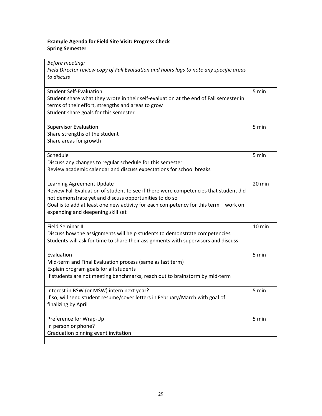## **Example Agenda for Field Site Visit: Progress Check Spring Semester**

| Before meeting:<br>Field Director review copy of Fall Evaluation and hours logs to note any specific areas<br>to discuss                                                                                                                                                                                 |        |
|----------------------------------------------------------------------------------------------------------------------------------------------------------------------------------------------------------------------------------------------------------------------------------------------------------|--------|
| <b>Student Self-Evaluation</b><br>Student share what they wrote in their self-evaluation at the end of Fall semester in<br>terms of their effort, strengths and areas to grow<br>Student share goals for this semester                                                                                   | 5 min  |
| <b>Supervisor Evaluation</b><br>Share strengths of the student<br>Share areas for growth                                                                                                                                                                                                                 | 5 min  |
| Schedule<br>Discuss any changes to regular schedule for this semester<br>Review academic calendar and discuss expectations for school breaks                                                                                                                                                             | 5 min  |
| Learning Agreement Update<br>Review Fall Evaluation of student to see if there were competencies that student did<br>not demonstrate yet and discuss opportunities to do so<br>Goal is to add at least one new activity for each competency for this term - work on<br>expanding and deepening skill set | 20 min |
| <b>Field Seminar II</b><br>Discuss how the assignments will help students to demonstrate competencies<br>Students will ask for time to share their assignments with supervisors and discuss                                                                                                              | 10 min |
| Evaluation<br>Mid-term and Final Evaluation process (same as last term)<br>Explain program goals for all students<br>If students are not meeting benchmarks, reach out to brainstorm by mid-term                                                                                                         | 5 min  |
| Interest in BSW (or MSW) intern next year?<br>If so, will send student resume/cover letters in February/March with goal of<br>finalizing by April                                                                                                                                                        | 5 min  |
| Preference for Wrap-Up<br>In person or phone?<br>Graduation pinning event invitation                                                                                                                                                                                                                     | 5 min  |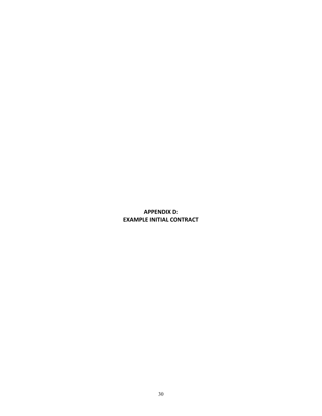## <span id="page-29-0"></span>**APPENDIX D: EXAMPLE INITIAL CONTRACT**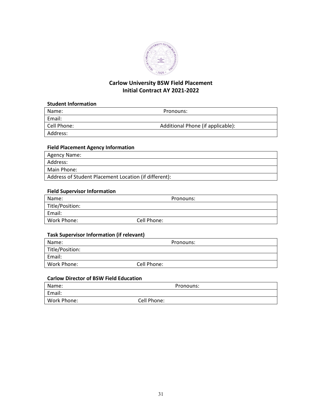

## **Carlow University BSW Field Placement Initial Contract AY 2021-2022**

#### **Student Information**

| Name:       | Pronouns:                         |  |
|-------------|-----------------------------------|--|
| Email:      |                                   |  |
| Cell Phone: | Additional Phone (if applicable): |  |
| Address:    |                                   |  |
|             |                                   |  |

#### **Field Placement Agency Information**

| Agency Name:                                          |
|-------------------------------------------------------|
| Address:                                              |
| Main Phone:                                           |
| Address of Student Placement Location (if different): |

## **Field Supervisor Information**

| Name:           | Pronouns:   |  |
|-----------------|-------------|--|
| Title/Position: |             |  |
| Email:          |             |  |
| Work Phone:     | Cell Phone: |  |

## **Task Supervisor Information (if relevant)**

| Name:           | Pronouns:   |  |
|-----------------|-------------|--|
| Title/Position: |             |  |
| Email:          |             |  |
| Work Phone:     | Cell Phone: |  |

#### **Carlow Director of BSW Field Education**

| Name:       | Pronouns:   |  |
|-------------|-------------|--|
| Email:      |             |  |
| Work Phone: | Cell Phone: |  |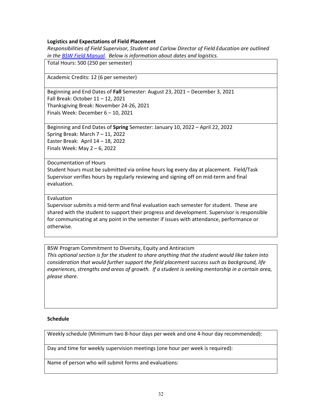#### **Logistics and Expectations of Field Placement**

*Responsibilities of Field Supervisor, Student and Carlow Director of Field Education are outlined in th[e BSW Field Manual.](https://carlow.edu/app/uploads/2021/01/bsw-field-manual.pdf) Below is information about dates and logistics.* 

Total Hours: 500 (250 per semester)

Academic Credits: 12 (6 per semester)

Beginning and End Dates of **Fall** Semester: August 23, 2021 – December 3, 2021 Fall Break: October 11 – 12, 2021 Thanksgiving Break: November 24-26, 2021 Finals Week: December 6 – 10, 2021

Beginning and End Dates of **Spring** Semester: January 10, 2022 – April 22, 2022 Spring Break: March 7 – 11, 2022 Easter Break: April 14 – 18, 2022 Finals Week: May 2 – 6, 2022

#### Documentation of Hours

Student hours must be submitted via online hours log every day at placement. Field/Task Supervisor verifies hours by regularly reviewing and signing off on mid-term and final evaluation.

#### Evaluation

Supervisor submits a mid-term and final evaluation each semester for student. These are shared with the student to support their progress and development. Supervisor is responsible for communicating at any point in the semester if issues with attendance, performance or otherwise.

BSW Program Commitment to Diversity, Equity and Antiracism *This optional section is for the student to share anything that the student would like taken into consideration that would further support the field placement success such as background, life experiences, strengths and areas of growth. If a student is seeking mentorship in a certain area, please share.*

#### **Schedule**

Weekly schedule (Minimum two 8-hour days per week and one 4-hour day recommended):

Day and time for weekly supervision meetings (one hour per week is required):

Name of person who will submit forms and evaluations: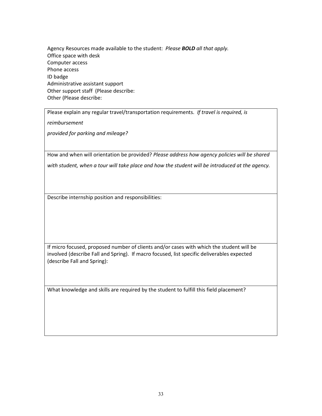Agency Resources made available to the student: *Please BOLD all that apply.* Office space with desk Computer access Phone access ID badge Administrative assistant support Other support staff (Please describe: Other (Please describe:

Please explain any regular travel/transportation requirements. *If travel is required, is* 

*reimbursement*

*provided for parking and mileage?*

How and when will orientation be provided? *Please address how agency policies will be shared with student, when a tour will take place and how the student will be introduced at the agency.* 

Describe internship position and responsibilities:

If micro focused, proposed number of clients and/or cases with which the student will be involved (describe Fall and Spring). If macro focused, list specific deliverables expected (describe Fall and Spring):

What knowledge and skills are required by the student to fulfill this field placement?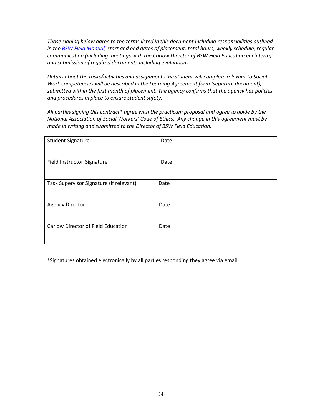*Those signing below agree to the terms listed in this document including responsibilities outlined in th[e BSW Field Manual,](https://carlow.edu/app/uploads/2021/01/bsw-field-manual.pdf) start and end dates of placement, total hours, weekly schedule, regular communication (including meetings with the Carlow Director of BSW Field Education each term) and submission of required documents including evaluations.* 

*Details about the tasks/activities and assignments the student will complete relevant to Social Work competencies will be described in the Learning Agreement form (separate document), submitted within the first month of placement. The agency confirms that the agency has policies and procedures in place to ensure student safety.* 

*All parties signing this contract\* agree with the practicum proposal and agree to abide by the National Association of Social Workers' Code of Ethics. Any change in this agreement must be made in writing and submitted to the Director of BSW Field Education.* 

| <b>Student Signature</b>                | Date |
|-----------------------------------------|------|
| Field Instructor Signature              | Date |
| Task Supervisor Signature (if relevant) | Date |
| <b>Agency Director</b>                  | Date |
| Carlow Director of Field Education      | Date |

\*Signatures obtained electronically by all parties responding they agree via email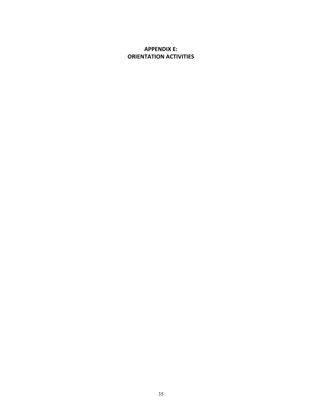## <span id="page-34-0"></span>**APPENDIX E: ORIENTATION ACTIVITIES**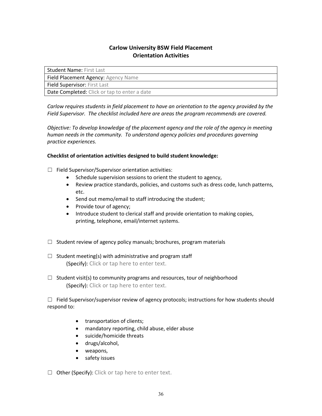## **Carlow University BSW Field Placement Orientation Activities**

| <b>Student Name: First Last</b>              |
|----------------------------------------------|
| Field Placement Agency: Agency Name          |
| <b>Field Supervisor: First Last</b>          |
| Date Completed: Click or tap to enter a date |

*Carlow requires students in field placement to have an orientation to the agency provided by the Field Supervisor. The checklist included here are areas the program recommends are covered.* 

*Objective: To develop knowledge of the placement agency and the role of the agency in meeting human needs in the community. To understand agency policies and procedures governing practice experiences.*

#### **Checklist of orientation activities designed to build student knowledge:**

☐ Field Supervisor/Supervisor orientation activities:

- Schedule supervision sessions to orient the student to agency,
- Review practice standards, policies, and customs such as dress code, lunch patterns, etc.
- Send out memo/email to staff introducing the student;
- Provide tour of agency;
- Introduce student to clerical staff and provide orientation to making copies, printing, telephone, email/internet systems.
- $\Box$  Student review of agency policy manuals; brochures, program materials
- $\Box$  Student meeting(s) with administrative and program staff (Specify): Click or tap here to enter text.
- $\Box$  Student visit(s) to community programs and resources, tour of neighborhood (Specify): Click or tap here to enter text.

 $\Box$  Field Supervisor/supervisor review of agency protocols; instructions for how students should respond to:

- transportation of clients;
- mandatory reporting, child abuse, elder abuse
- suicide/homicide threats
- drugs/alcohol,
- weapons,
- safety issues

☐ Other (Specify): Click or tap here to enter text.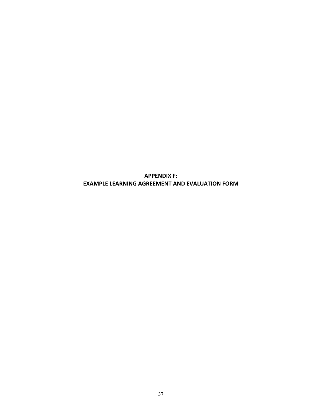**APPENDIX F: EXAMPLE LEARNING AGREEMENT AND EVALUATION FORM**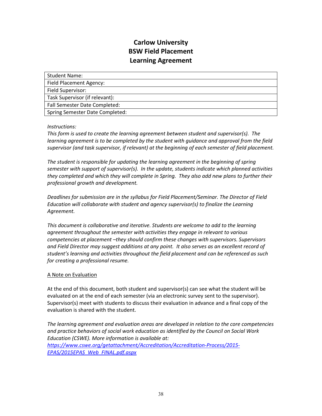# **Carlow University BSW Field Placement Learning Agreement**

Student Name: Field Placement Agency: Field Supervisor: Task Supervisor (if relevant): Fall Semester Date Completed: Spring Semester Date Completed:

# *Instructions:*

*This form is used to create the learning agreement between student and supervisor(s). The learning agreement is to be completed by the student with guidance and approval from the field supervisor (and task supervisor, if relevant) at the beginning of each semester of field placement.* 

*The student is responsible for updating the learning agreement in the beginning of spring semester with support of supervisor(s). In the update, students indicate which planned activities they completed and which they will complete in Spring. They also add new plans to further their professional growth and development.*

*Deadlines for submission are in the syllabus for Field Placement/Seminar. The Director of Field Education will collaborate with student and agency supervisor(s) to finalize the Learning Agreement.*

*This document is collaborative and iterative. Students are welcome to add to the learning agreement throughout the semester with activities they engage in relevant to various competencies at placement –they should confirm these changes with supervisors. Supervisors and Field Director may suggest additions at any point. It also serves as an excellent record of student's learning and activities throughout the field placement and can be referenced as such for creating a professional resume.* 

# A Note on Evaluation

At the end of this document, both student and supervisor(s) can see what the student will be evaluated on at the end of each semester (via an electronic survey sent to the supervisor). Supervisor(s) meet with students to discuss their evaluation in advance and a final copy of the evaluation is shared with the student.

*The learning agreement and evaluation areas are developed in relation to the core competencies and practice behaviors of social work education as identified by the Council on Social Work Education (CSWE). More information is available at: [https://www.cswe.org/getattachment/Accreditation/Accreditation-Process/2015-](https://www.cswe.org/getattachment/Accreditation/Accreditation-Process/2015-EPAS/2015EPAS_Web_FINAL.pdf.aspx) [EPAS/2015EPAS\\_Web\\_FINAL.pdf.aspx](https://www.cswe.org/getattachment/Accreditation/Accreditation-Process/2015-EPAS/2015EPAS_Web_FINAL.pdf.aspx)*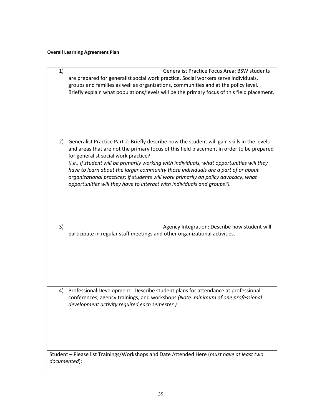# **Overall Learning Agreement Plan**

| 1) | <b>Generalist Practice Focus Area: BSW students</b><br>are prepared for generalist social work practice. Social workers serve individuals,<br>groups and families as well as organizations, communities and at the policy level.<br>Briefly explain what populations/levels will be the primary focus of this field placement.                                                                                                                                                                                                                                                      |
|----|-------------------------------------------------------------------------------------------------------------------------------------------------------------------------------------------------------------------------------------------------------------------------------------------------------------------------------------------------------------------------------------------------------------------------------------------------------------------------------------------------------------------------------------------------------------------------------------|
| 2) | Generalist Practice Part 2: Briefly describe how the student will gain skills in the levels<br>and areas that are not the primary focus of this field placement in order to be prepared<br>for generalist social work practice?<br>(i.e., if student will be primarily working with individuals, what opportunities will they<br>have to learn about the larger community those individuals are a part of or about<br>organizational practices; if students will work primarily on policy advocacy, what<br>opportunities will they have to interact with individuals and groups?). |
| 3) | Agency Integration: Describe how student will<br>participate in regular staff meetings and other organizational activities.                                                                                                                                                                                                                                                                                                                                                                                                                                                         |
| 4) | Professional Development: Describe student plans for attendance at professional<br>conferences, agency trainings, and workshops (Note: minimum of one professional<br>development activity required each semester.)                                                                                                                                                                                                                                                                                                                                                                 |
|    | Student - Please list Trainings/Workshops and Date Attended Here (must have at least two<br>documented):                                                                                                                                                                                                                                                                                                                                                                                                                                                                            |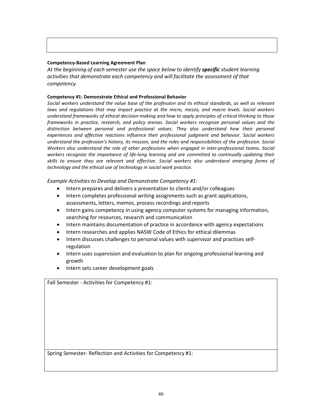#### **Competency-Based Learning Agreement Plan**

*At the beginning of each semester use the space below to identify specific student learning activities that demonstrate each competency and will facilitate the assessment of that competency.* 

### **Competency #1: Demonstrate Ethical and Professional Behavior**

*Social workers understand the value base of the profession and its ethical standards, as well as relevant*  laws and regulations that may impact practice at the micro, mezzo, and macro levels. Social workers *understand frameworks of ethical decision-making and how to apply principles of critical thinking to those frameworks in practice, research, and policy arenas. Social workers recognize personal values and the distinction between personal and professional values. They also understand how their personal experiences and affective reactions influence their professional judgment and behavior. Social workers understand the profession's history, its mission, and the roles and responsibilities of the profession. Social Workers also understand the role of other professions when engaged in inter-professional teams. Social*  workers recognize the importance of life-long learning and are committed to continually updating their *skills to ensure they are relevant and effective. Social workers also understand emerging forms of technology and the ethical use of technology in social work practice.*

*Example Activities to Develop and Demonstrate Competency #1:*

- Intern prepares and delivers a presentation to clients and/or colleagues
- Intern completes professional writing assignments such as grant applications, assessments, letters, memos, process recordings and reports
- Intern gains competency in using agency computer systems for managing information, searching for resources, research and communication
- Intern maintains documentation of practice in accordance with agency expectations
- Intern researches and applies NASW Code of Ethics for ethical dilemmas
- Intern discusses challenges to personal values with supervisor and practices selfregulation
- Intern uses supervision and evaluation to plan for ongoing professional learning and growth
- Intern sets career development goals

Fall Semester - Activities for Competency #1:

Spring Semester- Reflection and Activities for Competency #1: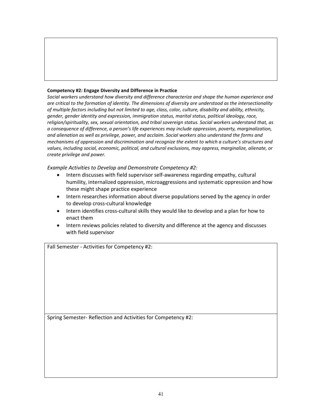#### **Competency #2: Engage Diversity and Difference in Practice**

*Social workers understand how diversity and difference characterize and shape the human experience and are critical to the formation of identity. The dimensions of diversity are understood as the intersectionality of multiple factors including but not limited to age, class, color, culture, disability and ability, ethnicity, gender, gender identity and expression, immigration status, marital status, political ideology, race, religion/spirituality, sex, sexual orientation, and tribal sovereign status. Social workers understand that, as a consequence of difference, a person's life experiences may include oppression, poverty, marginalization, and alienation as well as privilege, power, and acclaim. Social workers also understand the forms and mechanisms of oppression and discrimination and recognize the extent to which a culture's structures and values, including social, economic, political, and cultural exclusions, may oppress, marginalize, alienate, or create privilege and power.*

*Example Activities to Develop and Demonstrate Competency #2:*

- Intern discusses with field supervisor self-awareness regarding empathy, cultural humility, internalized oppression, microaggressions and systematic oppression and how these might shape practice experience
- Intern researches information about diverse populations served by the agency in order to develop cross-cultural knowledge
- Intern identifies cross-cultural skills they would like to develop and a plan for how to enact them
- Intern reviews policies related to diversity and difference at the agency and discusses with field supervisor

Fall Semester - Activities for Competency #2:

Spring Semester- Reflection and Activities for Competency #2: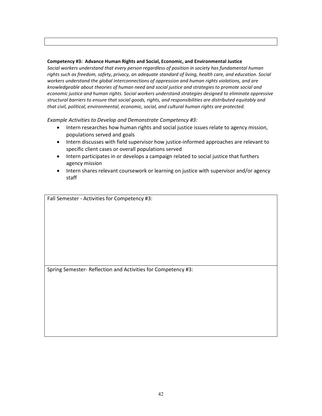#### **Competency #3: Advance Human Rights and Social, Economic, and Environmental Justice**

*Social workers understand that every person regardless of position in society has fundamental human rights such as freedom, safety, privacy, an adequate standard of living, health care, and education. Social workers understand the global interconnections of oppression and human rights violations, and are knowledgeable about theories of human need and social justice and strategies to promote social and economic justice and human rights. Social workers understand strategies designed to eliminate oppressive structural barriers to ensure that social goods, rights, and responsibilities are distributed equitably and that civil, political, environmental, economic, social, and cultural human rights are protected.* 

*Example Activities to Develop and Demonstrate Competency #3:*

- Intern researches how human rights and social justice issues relate to agency mission, populations served and goals
- Intern discusses with field supervisor how justice-informed approaches are relevant to specific client cases or overall populations served
- Intern participates in or develops a campaign related to social justice that furthers agency mission
- Intern shares relevant coursework or learning on justice with supervisor and/or agency staff

Fall Semester - Activities for Competency #3:

Spring Semester- Reflection and Activities for Competency #3: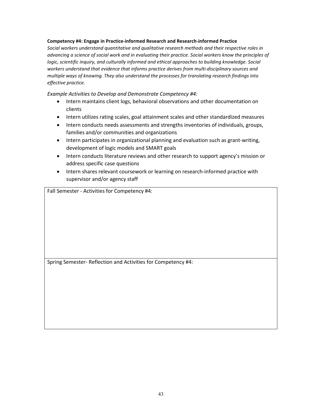#### **Competency #4: Engage in Practice-informed Research and Research-informed Practice**

*Social workers understand quantitative and qualitative research methods and their respective roles in advancing a science of social work and in evaluating their practice. Social workers know the principles of logic, scientific inquiry, and culturally informed and ethical approaches to building knowledge. Social workers understand that evidence that informs practice derives from multi-disciplinary sources and multiple ways of knowing. They also understand the processes for translating research findings into effective practice.*

*Example Activities to Develop and Demonstrate Competency #4:*

- Intern maintains client logs, behavioral observations and other documentation on clients
- Intern utilizes rating scales, goal attainment scales and other standardized measures
- Intern conducts needs assessments and strengths inventories of individuals, groups, families and/or communities and organizations
- Intern participates in organizational planning and evaluation such as grant-writing, development of logic models and SMART goals
- Intern conducts literature reviews and other research to support agency's mission or address specific case questions
- Intern shares relevant coursework or learning on research-informed practice with supervisor and/or agency staff

Fall Semester - Activities for Competency #4:

Spring Semester- Reflection and Activities for Competency #4: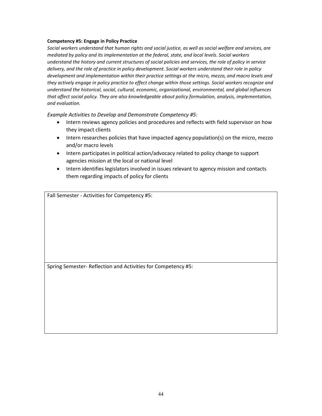#### **Competency #5: Engage in Policy Practice**

*Social workers understand that human rights and social justice, as well as social welfare and services, are mediated by policy and its implementation at the federal, state, and local levels. Social workers understand the history and current structures of social policies and services, the role of policy in service delivery, and the role of practice in policy development. Social workers understand their role in policy development and implementation within their practice settings at the micro, mezzo, and macro levels and they actively engage in policy practice to effect change within those settings. Social workers recognize and understand the historical, social, cultural, economic, organizational, environmental, and global influences that affect social policy. They are also knowledgeable about policy formulation, analysis, implementation, and evaluation.*

*Example Activities to Develop and Demonstrate Competency #5:*

- Intern reviews agency policies and procedures and reflects with field supervisor on how they impact clients
- Intern researches policies that have impacted agency population(s) on the micro, mezzo and/or macro levels
- Intern participates in political action/advocacy related to policy change to support agencies mission at the local or national level
- Intern identifies legislators involved in issues relevant to agency mission and contacts them regarding impacts of policy for clients

Fall Semester - Activities for Competency #5:

Spring Semester- Reflection and Activities for Competency #5: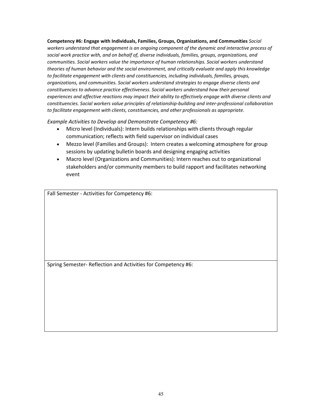**Competency #6: Engage with Individuals, Families, Groups, Organizations, and Communities** *Social workers understand that engagement is an ongoing component of the dynamic and interactive process of social work practice with, and on behalf of, diverse individuals, families, groups, organizations, and communities. Social workers value the importance of human relationships. Social workers understand theories of human behavior and the social environment, and critically evaluate and apply this knowledge to facilitate engagement with clients and constituencies, including individuals, families, groups, organizations, and communities. Social workers understand strategies to engage diverse clients and constituencies to advance practice effectiveness. Social workers understand how their personal experiences and affective reactions may impact their ability to effectively engage with diverse clients and constituencies. Social workers value principles of relationship-building and inter-professional collaboration to facilitate engagement with clients, constituencies, and other professionals as appropriate.*

*Example Activities to Develop and Demonstrate Competency #6:*

- Micro level (Individuals): Intern builds relationships with clients through regular communication; reflects with field supervisor on individual cases
- Mezzo level (Families and Groups): Intern creates a welcoming atmosphere for group sessions by updating bulletin boards and designing engaging activities
- Macro level (Organizations and Communities): Intern reaches out to organizational stakeholders and/or community members to build rapport and facilitates networking event

Fall Semester - Activities for Competency #6:

Spring Semester- Reflection and Activities for Competency #6: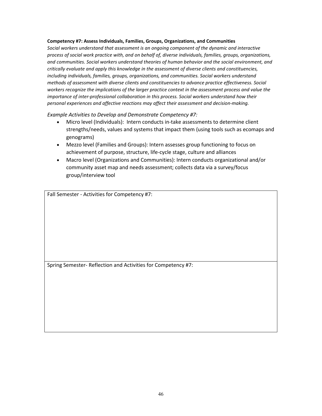#### **Competency #7: Assess Individuals, Families, Groups, Organizations, and Communities**

*Social workers understand that assessment is an ongoing component of the dynamic and interactive process of social work practice with, and on behalf of, diverse individuals, families, groups, organizations, and communities. Social workers understand theories of human behavior and the social environment, and critically evaluate and apply this knowledge in the assessment of diverse clients and constituencies, including individuals, families, groups, organizations, and communities. Social workers understand methods of assessment with diverse clients and constituencies to advance practice effectiveness. Social workers recognize the implications of the larger practice context in the assessment process and value the importance of inter-professional collaboration in this process. Social workers understand how their personal experiences and affective reactions may affect their assessment and decision-making.*

*Example Activities to Develop and Demonstrate Competency #7:*

- Micro level (Individuals): Intern conducts in-take assessments to determine client strengths/needs, values and systems that impact them (using tools such as ecomaps and genograms)
- Mezzo level (Families and Groups): Intern assesses group functioning to focus on achievement of purpose, structure, life-cycle stage, culture and alliances
- Macro level (Organizations and Communities): Intern conducts organizational and/or community asset map and needs assessment; collects data via a survey/focus group/interview tool

Fall Semester - Activities for Competency #7:

Spring Semester- Reflection and Activities for Competency #7: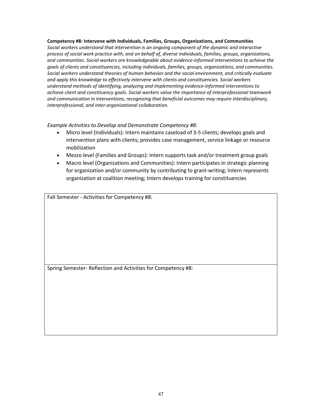#### **Competency #8: Intervene with Individuals, Families, Groups, Organizations, and Communities**

*Social workers understand that intervention is an ongoing component of the dynamic and interactive process of social work practice with, and on behalf of, diverse individuals, families, groups, organizations, and communities. Social workers are knowledgeable about evidence-informed interventions to achieve the goals of clients and constituencies, including individuals, families, groups, organizations, and communities. Social workers understand theories of human behavior and the social environment, and critically evaluate and apply this knowledge to effectively intervene with clients and constituencies. Social workers understand methods of identifying, analyzing and implementing evidence-informed interventions to achieve client and constituency goals. Social workers value the importance of interprofessional teamwork and communication in interventions, recognizing that beneficial outcomes may require interdisciplinary, interprofessional, and inter-organizational collaboration.*

*Example Activities to Develop and Demonstrate Competency #8:*

- Micro level (Individuals): Intern maintains caseload of 3-5 clients; develops goals and intervention plans with clients; provides case management, service linkage or resource mobilization
- Mezzo level (Families and Groups): Intern supports task and/or treatment group goals
- Macro level (Organizations and Communities): Intern participates in strategic planning for organization and/or community by contributing to grant-writing; Intern represents organization at coalition meeting; Intern develops training for constituencies

Fall Semester - Activities for Competency #8:

Spring Semester- Reflection and Activities for Competency #8: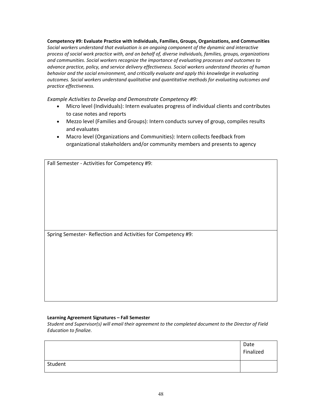**Competency #9: Evaluate Practice with Individuals, Families, Groups, Organizations, and Communities**  *Social workers understand that evaluation is an ongoing component of the dynamic and interactive process of social work practice with, and on behalf of, diverse individuals, families, groups, organizations and communities. Social workers recognize the importance of evaluating processes and outcomes to advance practice, policy, and service delivery effectiveness. Social workers understand theories of human behavior and the social environment, and critically evaluate and apply this knowledge in evaluating outcomes. Social workers understand qualitative and quantitative methods for evaluating outcomes and practice effectiveness.*

*Example Activities to Develop and Demonstrate Competency #9:*

- Micro level (Individuals): Intern evaluates progress of individual clients and contributes to case notes and reports
- Mezzo level (Families and Groups): Intern conducts survey of group, compiles results and evaluates
- Macro level (Organizations and Communities): Intern collects feedback from organizational stakeholders and/or community members and presents to agency

| Fall Semester - Activities for Competency #9:                 |
|---------------------------------------------------------------|
|                                                               |
|                                                               |
|                                                               |
|                                                               |
|                                                               |
|                                                               |
|                                                               |
|                                                               |
|                                                               |
| Spring Semester- Reflection and Activities for Competency #9: |
|                                                               |
|                                                               |
|                                                               |
|                                                               |
|                                                               |
|                                                               |
|                                                               |
|                                                               |
|                                                               |

#### **Learning Agreement Signatures – Fall Semester**

*Student and Supervisor(s) will email their agreement to the completed document to the Director of Field Education to finalize.*

|         | Date<br>Finalized |
|---------|-------------------|
| Student |                   |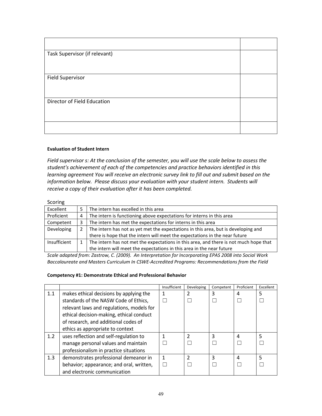| Task Supervisor (if relevant) |  |
|-------------------------------|--|
|                               |  |
| <b>Field Supervisor</b>       |  |
|                               |  |
| Director of Field Education   |  |
|                               |  |
|                               |  |

### **Evaluation of Student Intern**

*Field supervisor s: At the conclusion of the semester, you will use the scale below to assess the student's achievement of each of the competencies and practice behaviors identified in this learning agreement You will receive an electronic survey link to fill out and submit based on the information below. Please discuss your evaluation with your student intern. Students will receive a copy of their evaluation after it has been completed.*

#### **Scoring**

| Excellent    |   | The intern has excelled in this area                                                  |
|--------------|---|---------------------------------------------------------------------------------------|
| Proficient   | 4 | The intern is functioning above expectations for interns in this area                 |
| Competent    | 3 | The intern has met the expectations for interns in this area                          |
| Developing   |   | The intern has not as yet met the expectations in this area, but is developing and    |
|              |   | there is hope that the intern will meet the expectations in the near future           |
| Insufficient |   | The intern has not met the expectations in this area, and there is not much hope that |
|              |   | the intern will meet the expectations in this area in the near future                 |

*Scale adapted from: Zastrow, C. (2009). An Interpretation for Incorporating EPAS 2008 into Social Work Baccalaureate and Masters Curriculum In CSWE-Accredited Programs: Recommendations from the Field*

#### **Competency #1: Demonstrate Ethical and Professional Behavior**

|     |                                           | Insufficient | Developing    | Competent | Proficient | Excellent |
|-----|-------------------------------------------|--------------|---------------|-----------|------------|-----------|
| 1.1 | makes ethical decisions by applying the   |              | 2             | 3         | 4          | 5         |
|     | standards of the NASW Code of Ethics,     |              |               |           |            |           |
|     | relevant laws and regulations, models for |              |               |           |            |           |
|     | ethical decision-making, ethical conduct  |              |               |           |            |           |
|     | of research, and additional codes of      |              |               |           |            |           |
|     | ethics as appropriate to context          |              |               |           |            |           |
| 1.2 | uses reflection and self-regulation to    |              | $\mathfrak z$ | 3         | 4          | 5         |
|     | manage personal values and maintain       |              |               |           |            |           |
|     | professionalism in practice situations    |              |               |           |            |           |
| 1.3 | demonstrates professional demeanor in     | 1            | 2             | 3         | 4          | 5         |
|     | behavior; appearance; and oral, written,  |              |               |           |            |           |
|     | and electronic communication              |              |               |           |            |           |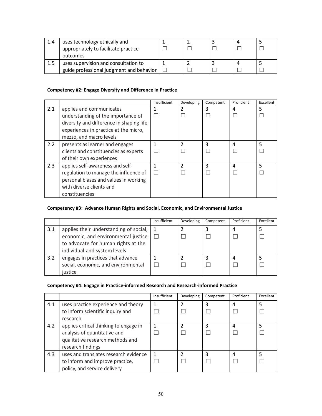| 1.4 | uses technology ethically and            |  |  |  |
|-----|------------------------------------------|--|--|--|
|     | appropriately to facilitate practice     |  |  |  |
|     | outcomes                                 |  |  |  |
|     | uses supervision and consultation to     |  |  |  |
|     | guide professional judgment and behavior |  |  |  |

### **Competency #2: Engage Diversity and Difference in Practice**

|     |                                          | Insufficient | Developing    | Competent | Proficient | Excellent |
|-----|------------------------------------------|--------------|---------------|-----------|------------|-----------|
| 2.1 | applies and communicates                 |              |               | 3         | 4          | 5         |
|     | understanding of the importance of       |              |               |           |            |           |
|     | diversity and difference in shaping life |              |               |           |            |           |
|     | experiences in practice at the micro,    |              |               |           |            |           |
|     | mezzo, and macro levels                  |              |               |           |            |           |
| 2.2 | presents as learner and engages          |              | $\mathfrak z$ | 3         | 4          | 5         |
|     | clients and constituencies as experts    |              |               |           |            |           |
|     | of their own experiences                 |              |               |           |            |           |
| 2.3 | applies self-awareness and self-         |              | $\mathfrak z$ | 3         | 4          | 5         |
|     | regulation to manage the influence of    |              |               |           |            |           |
|     | personal biases and values in working    |              |               |           |            |           |
|     | with diverse clients and                 |              |               |           |            |           |
|     | constituencies                           |              |               |           |            |           |

# **Competency #3: Advance Human Rights and Social, Economic, and Environmental Justice**

|     |                                        | Insufficient | Developing | Competent | Proficient | Excellent |
|-----|----------------------------------------|--------------|------------|-----------|------------|-----------|
| 3.1 | applies their understanding of social, |              |            |           | 4          |           |
|     | economic, and environmental justice    |              |            |           |            |           |
|     | to advocate for human rights at the    |              |            |           |            |           |
|     | individual and system levels           |              |            |           |            |           |
| 3.2 | engages in practices that advance      |              |            |           | 4          |           |
|     | social, economic, and environmental    |              |            |           |            |           |
|     | justice                                |              |            |           |            |           |

### **Competency #4: Engage in Practice-informed Research and Research-informed Practice**

|     |                                        | Insufficient | Developing | Competent | Proficient | Excellent |
|-----|----------------------------------------|--------------|------------|-----------|------------|-----------|
| 4.1 | uses practice experience and theory    |              | า          | 3         | 4          |           |
|     | to inform scientific inquiry and       |              |            |           |            |           |
|     | research                               |              |            |           |            |           |
| 4.2 | applies critical thinking to engage in |              |            | 3         | 4          |           |
|     | analysis of quantitative and           |              |            |           |            |           |
|     | qualitative research methods and       |              |            |           |            |           |
|     | research findings                      |              |            |           |            |           |
| 4.3 | uses and translates research evidence  |              |            | 3         | 4          |           |
|     | to inform and improve practice,        |              |            |           |            |           |
|     | policy, and service delivery           |              |            |           |            |           |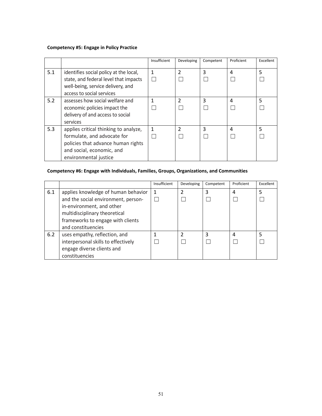### **Competency #5: Engage in Policy Practice**

|     |                                                                                                                                                                  | Insufficient | Developing     | Competent | Proficient | Excellent |
|-----|------------------------------------------------------------------------------------------------------------------------------------------------------------------|--------------|----------------|-----------|------------|-----------|
| 5.1 | identifies social policy at the local,<br>state, and federal level that impacts                                                                                  | 1            | $\mathfrak{p}$ | 3         | 4          | 5         |
|     | well-being, service delivery, and<br>access to social services                                                                                                   |              |                |           |            |           |
| 5.2 | assesses how social welfare and<br>economic policies impact the<br>delivery of and access to social<br>services                                                  |              | C              | 3         | 4          | 5         |
| 5.3 | applies critical thinking to analyze,<br>formulate, and advocate for<br>policies that advance human rights<br>and social, economic, and<br>environmental justice | 1            | $\mathfrak{p}$ | 3         | 4          | 5         |

# **Competency #6: Engage with Individuals, Families, Groups, Organizations, and Communities**

|     |                                                                                                                                                                               | Insufficient | Developing | Competent | Proficient | Excellent |
|-----|-------------------------------------------------------------------------------------------------------------------------------------------------------------------------------|--------------|------------|-----------|------------|-----------|
| 6.1 | applies knowledge of human behavior<br>and the social environment, person-<br>in-environment, and other<br>multidisciplinary theoretical<br>frameworks to engage with clients | $\mathbf{1}$ | 2          | 3         | 4          | 5         |
|     | and constituencies                                                                                                                                                            |              |            |           |            |           |
| 6.2 | uses empathy, reflection, and                                                                                                                                                 |              | າ          | 3         | 4          |           |
|     | interpersonal skills to effectively                                                                                                                                           |              |            |           |            |           |
|     | engage diverse clients and                                                                                                                                                    |              |            |           |            |           |
|     | constituencies                                                                                                                                                                |              |            |           |            |           |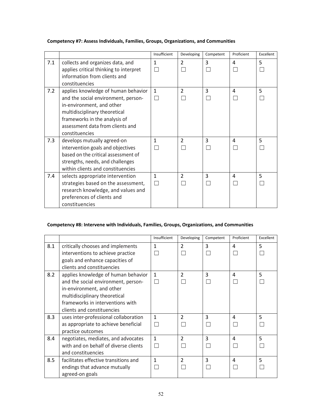# **Competency #7: Assess Individuals, Families, Groups, Organizations, and Communities**

|     |                                                                                                                                                                                                                                 | Insufficient                  | Developing     | Competent | Proficient | Excellent |
|-----|---------------------------------------------------------------------------------------------------------------------------------------------------------------------------------------------------------------------------------|-------------------------------|----------------|-----------|------------|-----------|
| 7.1 | collects and organizes data, and<br>applies critical thinking to interpret<br>information from clients and<br>constituencies                                                                                                    | $\mathbf{1}$<br>$\mathcal{L}$ | $\overline{2}$ | 3         | 4          | 5         |
| 7.2 | applies knowledge of human behavior<br>and the social environment, person-<br>in-environment, and other<br>multidisciplinary theoretical<br>frameworks in the analysis of<br>assessment data from clients and<br>constituencies | $\mathbf{1}$                  | $\mathcal{P}$  | 3         | 4          | 5         |
| 7.3 | develops mutually agreed-on<br>intervention goals and objectives<br>based on the critical assessment of<br>strengths, needs, and challenges<br>within clients and constituencies                                                | 1                             | $\mathcal{P}$  | 3         | 4          | 5         |
| 7.4 | selects appropriate intervention<br>strategies based on the assessment,<br>research knowledge, and values and<br>preferences of clients and<br>constituencies                                                                   | $\mathbf{1}$                  | $\mathcal{P}$  | 3         | 4          | 5         |

# **Competency #8: Intervene with Individuals, Families, Groups, Organizations, and Communities**

|     |                                                                                                                                                                                                            | Insufficient | Developing     | Competent | Proficient             | Excellent |
|-----|------------------------------------------------------------------------------------------------------------------------------------------------------------------------------------------------------------|--------------|----------------|-----------|------------------------|-----------|
| 8.1 | critically chooses and implements<br>interventions to achieve practice<br>goals and enhance capacities of<br>clients and constituencies                                                                    | 1            | $\overline{2}$ | 3         | 4                      | 5         |
| 8.2 | applies knowledge of human behavior<br>and the social environment, person-<br>in-environment, and other<br>multidisciplinary theoretical<br>frameworks in interventions with<br>clients and constituencies | $\mathbf{1}$ | $\mathcal{P}$  | 3         | 4                      | 5         |
| 8.3 | uses inter-professional collaboration<br>as appropriate to achieve beneficial<br>practice outcomes                                                                                                         | $\mathbf{1}$ | $\overline{2}$ | 3         | $\boldsymbol{\Lambda}$ | 5         |
| 8.4 | negotiates, mediates, and advocates<br>with and on behalf of diverse clients<br>and constituencies                                                                                                         | $\mathbf{1}$ | $\overline{2}$ | 3         | 4                      | 5         |
| 8.5 | facilitates effective transitions and<br>endings that advance mutually<br>agreed-on goals                                                                                                                  | 1            | $\overline{2}$ | 3         | $\overline{a}$         | 5         |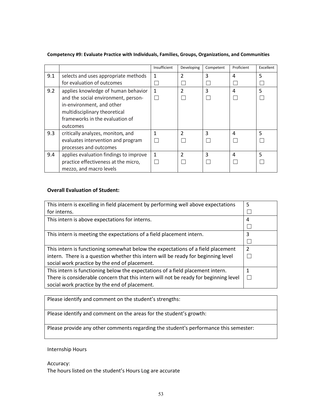|     |                                                                                                                                                                                         | Insufficient | Developing     | Competent | Proficient | Excellent |
|-----|-----------------------------------------------------------------------------------------------------------------------------------------------------------------------------------------|--------------|----------------|-----------|------------|-----------|
| 9.1 | selects and uses appropriate methods<br>for evaluation of outcomes                                                                                                                      | $\mathbf{1}$ | 2              | 3         | 4          | 5         |
| 9.2 | applies knowledge of human behavior<br>and the social environment, person-<br>in-environment, and other<br>multidisciplinary theoretical<br>frameworks in the evaluation of<br>outcomes | $\mathbf{1}$ | $\mathfrak z$  | 3         | 4          | 5         |
| 9.3 | critically analyzes, monitors, and<br>evaluates intervention and program<br>processes and outcomes                                                                                      |              | C              | 3         | 4          | 5         |
| 9.4 | applies evaluation findings to improve<br>practice effectiveness at the micro,<br>mezzo, and macro levels                                                                               | 1            | $\mathfrak{p}$ | 3         | 4          | 5         |

#### **Competency #9: Evaluate Practice with Individuals, Families, Groups, Organizations, and Communities**

#### **Overall Evaluation of Student:**

| This intern is excelling in field placement by performing well above expectations    | 5             |
|--------------------------------------------------------------------------------------|---------------|
| for interns.                                                                         |               |
| This intern is above expectations for interns.                                       | 4             |
|                                                                                      |               |
| This intern is meeting the expectations of a field placement intern.                 | 3             |
|                                                                                      |               |
| This intern is functioning somewhat below the expectations of a field placement      | $\mathcal{P}$ |
| intern. There is a question whether this intern will be ready for beginning level    |               |
| social work practice by the end of placement.                                        |               |
| This intern is functioning below the expectations of a field placement intern.       | 1             |
| There is considerable concern that this intern will not be ready for beginning level |               |
| social work practice by the end of placement.                                        |               |

Please identify and comment on the student's strengths:

Please identify and comment on the areas for the student's growth:

Please provide any other comments regarding the student's performance this semester:

Internship Hours

Accuracy: The hours listed on the student's Hours Log are accurate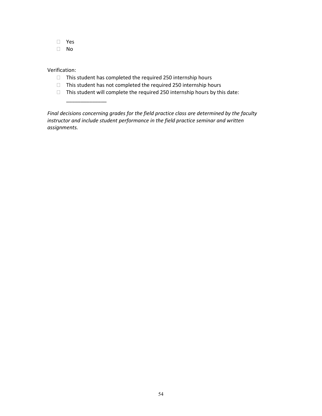- Yes
- No

### Verification:

\_\_\_\_\_\_\_\_\_\_\_\_\_\_

- $\Box$  This student has completed the required 250 internship hours
- $\Box$  This student has not completed the required 250 internship hours
- $\Box$  This student will complete the required 250 internship hours by this date:

*Final decisions concerning grades for the field practice class are determined by the faculty instructor and include student performance in the field practice seminar and written assignments.*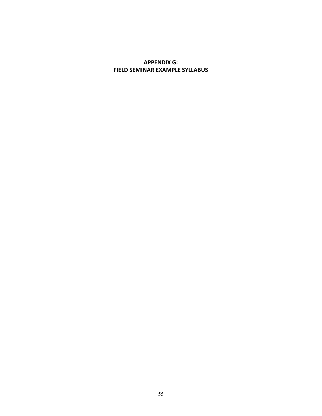# **APPENDIX G: FIELD SEMINAR EXAMPLE SYLLABUS**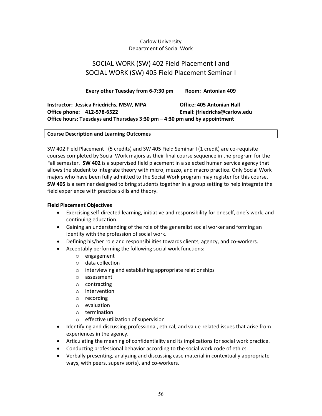# Carlow University Department of Social Work

# SOCIAL WORK (SW) 402 Field Placement I and SOCIAL WORK (SW) 405 Field Placement Seminar I

**Every other Tuesday from 6-7:30 pm Room: Antonian 409**

**Instructor: Jessica Friedrichs, MSW, MPA Office: 405 Antonian Hall Office phone: 412-578-6522 Email: jfriedrichs@carlow.edu Office hours: Tuesdays and Thursdays 3:30 pm – 4:30 pm and by appointment**

### **Course Description and Learning Outcomes**

SW 402 Field Placement I (5 credits) and SW 405 Field Seminar I (1 credit) are co-requisite courses completed by Social Work majors as their final course sequence in the program for the Fall semester. **SW 402** is a supervised field placement in a selected human service agency that allows the student to integrate theory with micro, mezzo, and macro practice. Only Social Work majors who have been fully admitted to the Social Work program may register for this course. **SW 405** is a seminar designed to bring students together in a group setting to help integrate the field experience with practice skills and theory.

### **Field Placement Objectives**

- Exercising self-directed learning, initiative and responsibility for oneself, one's work, and continuing education.
- Gaining an understanding of the role of the generalist social worker and forming an identity with the profession of social work.
- Defining his/her role and responsibilities towards clients, agency, and co-workers.
- Acceptably performing the following social work functions:
	- o engagement
	- o data collection
	- o interviewing and establishing appropriate relationships
	- o assessment
	- o contracting
	- o intervention
	- o recording
	- o evaluation
	- o termination
	- o effective utilization of supervision
- Identifying and discussing professional, ethical, and value-related issues that arise from experiences in the agency.
- Articulating the meaning of confidentiality and its implications for social work practice.
- Conducting professional behavior according to the social work code of ethics.
- Verbally presenting, analyzing and discussing case material in contextually appropriate ways, with peers, supervisor(s), and co-workers.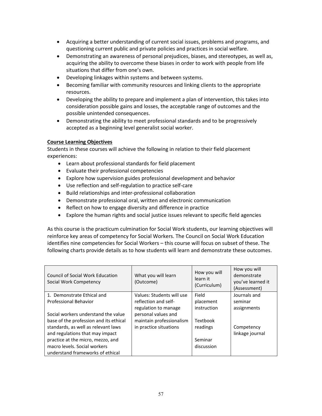- Acquiring a better understanding of current social issues, problems and programs, and questioning current public and private policies and practices in social welfare.
- Demonstrating an awareness of personal prejudices, biases, and stereotypes, as well as, acquiring the ability to overcome these biases in order to work with people from life situations that differ from one's own.
- Developing linkages within systems and between systems.
- Becoming familiar with community resources and linking clients to the appropriate resources.
- Developing the ability to prepare and implement a plan of intervention, this takes into consideration possible gains and losses, the acceptable range of outcomes and the possible unintended consequences.
- Demonstrating the ability to meet professional standards and to be progressively accepted as a beginning level generalist social worker.

### **Course Learning Objectives**

Students in these courses will achieve the following in relation to their field placement experiences:

- Learn about professional standards for field placement
- Evaluate their professional competencies
- Explore how supervision guides professional development and behavior
- Use reflection and self-regulation to practice self-care
- Build relationships and inter-professional collaboration
- Demonstrate professional oral, written and electronic communication
- Reflect on how to engage diversity and difference in practice
- Explore the human rights and social justice issues relevant to specific field agencies

As this course is the practicum culmination for Social Work students, our learning objectives will reinforce key areas of competency for Social Workers. The Council on Social Work Education identifies nine competencies for Social Workers – this course will focus on subset of these. The following charts provide details as to how students will learn and demonstrate these outcomes.

| Council of Social Work Education<br>Social Work Competency | What you will learn<br>(Outcome) | How you will<br>learn it<br>(Curriculum) | How you will<br>demonstrate<br>you've learned it<br>(Assessment) |
|------------------------------------------------------------|----------------------------------|------------------------------------------|------------------------------------------------------------------|
| 1. Demonstrate Ethical and                                 | Values: Students will use        | Field                                    | Journals and                                                     |
| Professional Behavior                                      | reflection and self-             | placement                                | seminar                                                          |
|                                                            | regulation to manage             | instruction                              | assignments                                                      |
| Social workers understand the value                        | personal values and              |                                          |                                                                  |
| base of the profession and its ethical                     | maintain professionalism         | Textbook                                 |                                                                  |
| standards, as well as relevant laws                        | in practice situations           | readings                                 | Competency                                                       |
| and regulations that may impact                            |                                  |                                          | linkage journal                                                  |
| practice at the micro, mezzo, and                          |                                  | Seminar                                  |                                                                  |
| macro levels. Social workers                               |                                  | discussion                               |                                                                  |
| understand frameworks of ethical                           |                                  |                                          |                                                                  |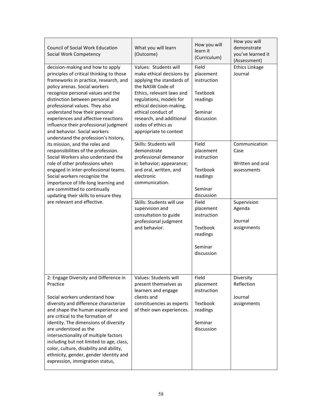| <b>Council of Social Work Education</b><br>Social Work Competency                                                                                                                                                                                                                                                                                                                                                                                                                    | What you will learn<br>(Outcome)                                                                                                                                                                                                                                                          | How you will<br>learn it<br>(Curriculum)                                           | How you will<br>demonstrate<br>you've learned it<br>(Assessment) |
|--------------------------------------------------------------------------------------------------------------------------------------------------------------------------------------------------------------------------------------------------------------------------------------------------------------------------------------------------------------------------------------------------------------------------------------------------------------------------------------|-------------------------------------------------------------------------------------------------------------------------------------------------------------------------------------------------------------------------------------------------------------------------------------------|------------------------------------------------------------------------------------|------------------------------------------------------------------|
| decision-making and how to apply<br>principles of critical thinking to those<br>frameworks in practice, research, and<br>policy arenas. Social workers<br>recognize personal values and the<br>distinction between personal and<br>professional values. They also<br>understand how their personal<br>experiences and affective reactions<br>influence their professional judgment<br>and behavior. Social workers<br>understand the profession's history,                           | Values: Students will<br>make ethical decisions by<br>applying the standards of<br>the NASW Code of<br>Ethics, relevant laws and<br>regulations, models for<br>ethical decision-making,<br>ethical conduct of<br>research, and additional<br>codes of ethics as<br>appropriate to context | Field<br>placement<br>instruction<br>Textbook<br>readings<br>Seminar<br>discussion | Ethics Linkage<br>Journal                                        |
| its mission, and the roles and<br>responsibilities of the profession.<br>Social Workers also understand the<br>role of other professions when<br>engaged in inter-professional teams.<br>Social workers recognize the<br>importance of life-long learning and<br>are committed to continually<br>updating their skills to ensure they                                                                                                                                                | Skills: Students will<br>demonstrate<br>professional demeanor<br>in behavior; appearance;<br>and oral, written, and<br>electronic<br>communication.                                                                                                                                       | Field<br>placement<br>instruction<br>Textbook<br>readings<br>Seminar<br>discussion | Communication<br>Case<br>Written and oral<br>assessments         |
| are relevant and effective.                                                                                                                                                                                                                                                                                                                                                                                                                                                          | Skills: Students will use<br>supervision and<br>consultation to guide<br>professional judgment<br>and behavior.                                                                                                                                                                           | Field<br>placement<br>instruction<br>Textbook<br>readings<br>Seminar<br>discussion | Supervision<br>Agenda<br>Journal<br>assignments                  |
| 2: Engage Diversity and Difference in<br>Practice<br>Social workers understand how<br>diversity and difference characterize<br>and shape the human experience and<br>are critical to the formation of<br>identity. The dimensions of diversity<br>are understood as the<br>intersectionality of multiple factors<br>including but not limited to age, class,<br>color, culture, disability and ability,<br>ethnicity, gender, gender identity and<br>expression, immigration status, | Values: Students will<br>present themselves as<br>learners and engage<br>clients and<br>constituencies as experts<br>of their own experiences.                                                                                                                                            | Field<br>placement<br>instruction<br>Textbook<br>readings<br>Seminar<br>discussion | Diversity<br>Reflection<br>Journal<br>assignments                |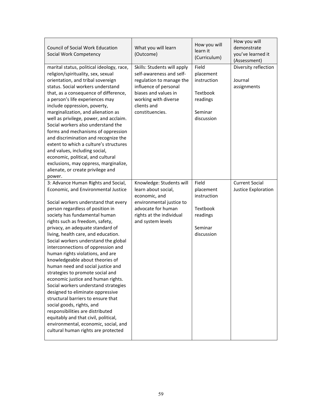| <b>Council of Social Work Education</b><br>Social Work Competency                                                                                                                                                                                                                                                                                                                                                                                                                                                                                                                                                                                                                                                                                                                                                                                                                   | What you will learn<br>(Outcome)                                                                                                                                                               | How you will<br>learn it<br>(Curriculum)                                           | How you will<br>demonstrate<br>you've learned it<br>(Assessment) |
|-------------------------------------------------------------------------------------------------------------------------------------------------------------------------------------------------------------------------------------------------------------------------------------------------------------------------------------------------------------------------------------------------------------------------------------------------------------------------------------------------------------------------------------------------------------------------------------------------------------------------------------------------------------------------------------------------------------------------------------------------------------------------------------------------------------------------------------------------------------------------------------|------------------------------------------------------------------------------------------------------------------------------------------------------------------------------------------------|------------------------------------------------------------------------------------|------------------------------------------------------------------|
| marital status, political ideology, race,<br>religion/spirituality, sex, sexual<br>orientation, and tribal sovereign<br>status. Social workers understand<br>that, as a consequence of difference,<br>a person's life experiences may<br>include oppression, poverty,<br>marginalization, and alienation as<br>well as privilege, power, and acclaim.<br>Social workers also understand the<br>forms and mechanisms of oppression<br>and discrimination and recognize the<br>extent to which a culture's structures<br>and values, including social,<br>economic, political, and cultural<br>exclusions, may oppress, marginalize,<br>alienate, or create privilege and<br>power.                                                                                                                                                                                                   | Skills: Students will apply<br>self-awareness and self-<br>regulation to manage the<br>influence of personal<br>biases and values in<br>working with diverse<br>clients and<br>constituencies. | Field<br>placement<br>instruction<br>Textbook<br>readings<br>Seminar<br>discussion | Diversity reflection<br>Journal<br>assignments                   |
| 3: Advance Human Rights and Social,<br>Economic, and Environmental Justice<br>Social workers understand that every<br>person regardless of position in<br>society has fundamental human<br>rights such as freedom, safety,<br>privacy, an adequate standard of<br>living, health care, and education.<br>Social workers understand the global<br>interconnections of oppression and<br>human rights violations, and are<br>knowledgeable about theories of<br>human need and social justice and<br>strategies to promote social and<br>economic justice and human rights.<br>Social workers understand strategies<br>designed to eliminate oppressive<br>structural barriers to ensure that<br>social goods, rights, and<br>responsibilities are distributed<br>equitably and that civil, political,<br>environmental, economic, social, and<br>cultural human rights are protected | Knowledge: Students will<br>learn about social,<br>economic, and<br>environmental justice to<br>advocate for human<br>rights at the individual<br>and system levels                            | Field<br>placement<br>instruction<br>Textbook<br>readings<br>Seminar<br>discussion | <b>Current Social</b><br>Justice Exploration                     |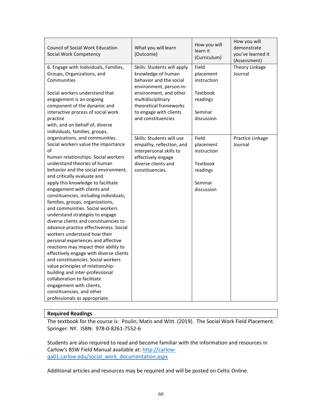| <b>Council of Social Work Education</b><br>Social Work Competency                                                                                                                                                                                                                                                                                                                                                                                                                                                                                                                                                                                                                                                                                                                                                                                                                                                                                                         | What you will learn<br>(Outcome)                                                                                                                                                                                                 | How you will<br>learn it<br>(Curriculum)                                           | How you will<br>demonstrate<br>you've learned it<br>(Assessment) |
|---------------------------------------------------------------------------------------------------------------------------------------------------------------------------------------------------------------------------------------------------------------------------------------------------------------------------------------------------------------------------------------------------------------------------------------------------------------------------------------------------------------------------------------------------------------------------------------------------------------------------------------------------------------------------------------------------------------------------------------------------------------------------------------------------------------------------------------------------------------------------------------------------------------------------------------------------------------------------|----------------------------------------------------------------------------------------------------------------------------------------------------------------------------------------------------------------------------------|------------------------------------------------------------------------------------|------------------------------------------------------------------|
| 6. Engage with Individuals, Families,<br>Groups, Organizations, and<br>Communities<br>Social workers understand that<br>engagement is an ongoing<br>component of the dynamic and<br>interactive process of social work<br>practice<br>with, and on behalf of, diverse                                                                                                                                                                                                                                                                                                                                                                                                                                                                                                                                                                                                                                                                                                     | Skills: Students will apply<br>knowledge of human<br>behavior and the social<br>environment, person-in-<br>environment, and other<br>multidisciplinary<br>theoretical frameworks<br>to engage with clients<br>and constituencies | Field<br>placement<br>instruction<br>Textbook<br>readings<br>Seminar<br>discussion | Theory Linkage<br>Journal                                        |
| individuals, families, groups,<br>organizations, and communities.<br>Social workers value the importance<br>of<br>human relationships. Social workers<br>understand theories of human<br>behavior and the social environment,<br>and critically evaluate and<br>apply this knowledge to facilitate<br>engagement with clients and<br>constituencies, including individuals,<br>families, groups, organizations,<br>and communities. Social workers<br>understand strategies to engage<br>diverse clients and constituencies to<br>advance practice effectiveness. Social<br>workers understand how their<br>personal experiences and affective<br>reactions may impact their ability to<br>effectively engage with diverse clients<br>and constituencies. Social workers<br>value principles of relationship-<br>building and inter-professional<br>collaboration to facilitate<br>engagement with clients,<br>constituencies, and other<br>professionals as appropriate. | Skills: Students will use<br>empathy, reflection, and<br>interpersonal skills to<br>effectively engage<br>diverse clients and<br>constituencies.                                                                                 | Field<br>placement<br>instruction<br>Textbook<br>readings<br>Seminar<br>discussion | Practice Linkage<br>Journal                                      |

### **Required Readings**

The textbook for the course is: Poulin, Matis and Witt. (2019). The Social Work Field Placement. Springer: NY. ISBN: 978-0-8261-7552-6

Students are also required to read and become familiar with the information and resources in Carlow's BSW Field Manual available at: [http://carlow](http://carlow-qa01.carlow.edu/social_work_documentation.aspx)[qa01.carlow.edu/social\\_work\\_documentation.aspx](http://carlow-qa01.carlow.edu/social_work_documentation.aspx)

Additional articles and resources may be required and will be posted on Celtic Online.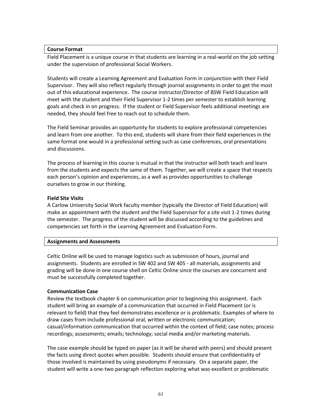#### **Course Format**

Field Placement is a unique course in that students are learning in a real-world on the job setting under the supervision of professional Social Workers.

Students will create a Learning Agreement and Evaluation Form in conjunction with their Field Supervisor. They will also reflect regularly through journal assignments in order to get the most out of this educational experience. The course instructor/Director of BSW Field Education will meet with the student and their Field Supervisor 1-2 times per semester to establish learning goals and check in on progress. If the student or Field Supervisor feels additional meetings are needed, they should feel free to reach out to schedule them.

The Field Seminar provides an opportunity for students to explore professional competencies and learn from one another. To this end, students will share from their field experiences in the same format one would in a professional setting such as case conferences, oral presentations and discussions.

The process of learning in this course is mutual in that the instructor will both teach and learn from the students and expects the same of them. Together, we will create a space that respects each person's opinion and experiences, as a well as provides opportunities to challenge ourselves to grow in our thinking.

### **Field Site Visits**

A Carlow University Social Work faculty member (typically the Director of Field Education) will make an appointment with the student and the Field Supervisor for a site visit 1-2 times during the semester. The progress of the student will be discussed according to the guidelines and competencies set forth in the Learning Agreement and Evaluation Form.

### **Assignments and Assessments**

Celtic Online will be used to manage logistics such as submission of hours, journal and assignments. Students are enrolled in SW 402 and SW 405 - all materials, assignments and grading will be done in one course shell on Celtic Online since the courses are concurrent and must be successfully completed together.

#### **Communication Case**

Review the textbook chapter 6 on communication prior to beginning this assignment. Each student will bring an example of a communication that occurred in Field Placement (or is relevant to field) that they feel demonstrates excellence or is problematic. Examples of where to draw cases from include professional oral, written or electronic communication; casual/information communication that occurred within the context of field; case notes; process recordings; assessments; emails; technology; social media and/or marketing materials.

The case example should be typed on paper (as it will be shared with peers) and should present the facts using direct quotes when possible. Students should ensure that confidentiality of those involved is maintained by using pseudonyms if necessary. On a separate paper, the student will write a one-two paragraph reflection exploring what was excellent or problematic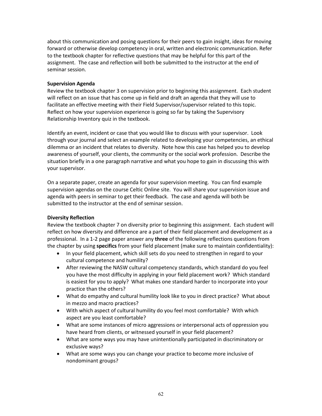about this communication and posing questions for their peers to gain insight, ideas for moving forward or otherwise develop competency in oral, written and electronic communication. Refer to the textbook chapter for reflective questions that may be helpful for this part of the assignment. The case and reflection will both be submitted to the instructor at the end of seminar session.

### **Supervision Agenda**

Review the textbook chapter 3 on supervision prior to beginning this assignment. Each student will reflect on an issue that has come up in field and draft an agenda that they will use to facilitate an effective meeting with their Field Supervisor/supervisor related to this topic. Reflect on how your supervision experience is going so far by taking the Supervisory Relationship Inventory quiz in the textbook.

Identify an event, incident or case that you would like to discuss with your supervisor. Look through your journal and select an example related to developing your competencies, an ethical dilemma or an incident that relates to diversity. Note how this case has helped you to develop awareness of yourself, your clients, the community or the social work profession. Describe the situation briefly in a one paragraph narrative and what you hope to gain in discussing this with your supervisor.

On a separate paper, create an agenda for your supervision meeting. You can find example supervision agendas on the course Celtic Online site. You will share your supervision issue and agenda with peers in seminar to get their feedback. The case and agenda will both be submitted to the instructor at the end of seminar session.

# **Diversity Reflection**

Review the textbook chapter 7 on diversity prior to beginning this assignment. Each student will reflect on how diversity and difference are a part of their field placement and development as a professional. In a 1-2 page paper answer any **three** of the following reflections questions from the chapter by using **specifics** from your field placement (make sure to maintain confidentiality):

- In your field placement, which skill sets do you need to strengthen in regard to your cultural competence and humility?
- After reviewing the NASW cultural competency standards, which standard do you feel you have the most difficulty in applying in your field placement work? Which standard is easiest for you to apply? What makes one standard harder to incorporate into your practice than the others?
- What do empathy and cultural humility look like to you in direct practice? What about in mezzo and macro practices?
- With which aspect of cultural humility do you feel most comfortable? With which aspect are you least comfortable?
- What are some instances of micro aggressions or interpersonal acts of oppression you have heard from clients, or witnessed yourself in your field placement?
- What are some ways you may have unintentionally participated in discriminatory or exclusive ways?
- What are some ways you can change your practice to become more inclusive of nondominant groups?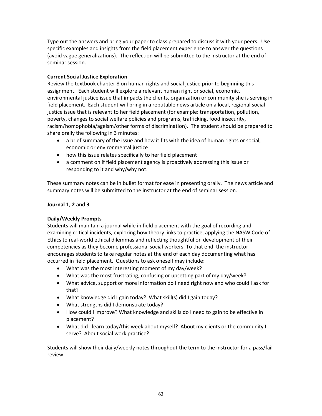Type out the answers and bring your paper to class prepared to discuss it with your peers. Use specific examples and insights from the field placement experience to answer the questions (avoid vague generalizations). The reflection will be submitted to the instructor at the end of seminar session.

# **Current Social Justice Exploration**

Review the textbook chapter 8 on human rights and social justice prior to beginning this assignment. Each student will explore a relevant human right or social, economic, environmental justice issue that impacts the clients, organization or community she is serving in field placement. Each student will bring in a reputable news article on a local, regional social justice issue that is relevant to her field placement (for example: transportation, pollution, poverty, changes to social welfare policies and programs, trafficking, food insecurity, racism/homophobia/ageism/other forms of discrimination). The student should be prepared to share orally the following in 3 minutes:

- a brief summary of the issue and how it fits with the idea of human rights or social, economic or environmental justice
- how this issue relates specifically to her field placement
- a comment on if field placement agency is proactively addressing this issue or responding to it and why/why not.

These summary notes can be in bullet format for ease in presenting orally. The news article and summary notes will be submitted to the instructor at the end of seminar session.

# **Journal 1, 2 and 3**

# **Daily/Weekly Prompts**

Students will maintain a journal while in field placement with the goal of recording and examining critical incidents, exploring how theory links to practice, applying the NASW Code of Ethics to real-world ethical dilemmas and reflecting thoughtful on development of their competencies as they become professional social workers. To that end, the instructor encourages students to take regular notes at the end of each day documenting what has occurred in field placement. Questions to ask oneself may include:

- What was the most interesting moment of my day/week?
- What was the most frustrating, confusing or upsetting part of my day/week?
- What advice, support or more information do I need right now and who could I ask for that?
- What knowledge did I gain today? What skill(s) did I gain today?
- What strengths did I demonstrate today?
- How could I improve? What knowledge and skills do I need to gain to be effective in placement?
- What did I learn today/this week about myself? About my clients or the community I serve? About social work practice?

Students will show their daily/weekly notes throughout the term to the instructor for a pass/fail review.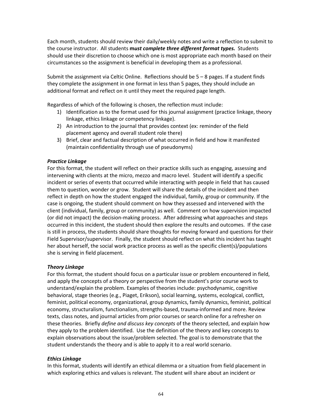Each month, students should review their daily/weekly notes and write a reflection to submit to the course instructor. All students **m***ust complete three different format types.* Students should use their discretion to choose which one is most appropriate each month based on their circumstances so the assignment is beneficial in developing them as a professional.

Submit the assignment via Celtic Online. Reflections should be  $5-8$  pages. If a student finds they complete the assignment in one format in less than 5 pages, they should include an additional format and reflect on it until they meet the required page length.

Regardless of which of the following is chosen, the reflection must include:

- 1) Identification as to the format used for this journal assignment (practice linkage, theory linkage, ethics linkage or competency linkage).
- 2) An introduction to the journal that provides context (ex: reminder of the field placement agency and overall student role there)
- 3) Brief, clear and factual description of what occurred in field and how it manifested (maintain confidentiality through use of pseudonyms)

### *Practice Linkage*

For this format, the student will reflect on their practice skills such as engaging, assessing and intervening with clients at the micro, mezzo and macro level. Student will identify a specific incident or series of events that occurred while interacting with people in field that has caused them to question, wonder or grow. Student will share the details of the incident and then reflect in depth on how the student engaged the individual, family, group or community. If the case is ongoing, the student should comment on how they assessed and intervened with the client (individual, family, group or community) as well. Comment on how supervision impacted (or did not impact) the decision-making process. After addressing what approaches and steps occurred in this incident, the student should then explore the results and outcomes. If the case is still in process, the students should share thoughts for moving forward and questions for their Field Supervisor/supervisor. Finally, the student should reflect on what this incident has taught her about herself, the social work practice process as well as the specific client(s)/populations she is serving in field placement.

### *Theory Linkage*

For this format, the student should focus on a particular issue or problem encountered in field, and apply the concepts of a theory or perspective from the student's prior course work to understand/explain the problem. Examples of theories include: psychodynamic, cognitive behavioral, stage theories (e.g., Piaget, Erikson), social learning, systems, ecological, conflict, feminist, political economy, organizational, group dynamics, family dynamics, feminist, political economy, structuralism, functionalism, strengths-based, trauma-informed and more. Review texts, class notes, and journal articles from prior courses or search online for a refresher on these theories. Briefly *define and discuss key concepts* of the theory selected, and explain how they apply to the problem identified. Use the definition of the theory and key concepts to explain observations about the issue/problem selected. The goal is to demonstrate that the student understands the theory and is able to apply it to a real world scenario.

# *Ethics Linkage*

In this format, students will identify an ethical dilemma or a situation from field placement in which exploring ethics and values is relevant. The student will share about an incident or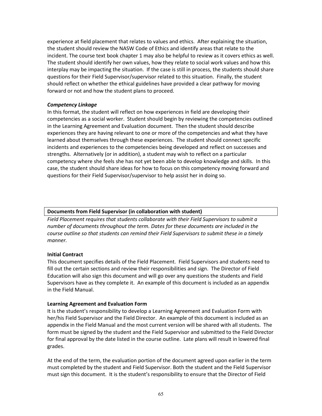experience at field placement that relates to values and ethics. After explaining the situation, the student should review the NASW Code of Ethics and identify areas that relate to the incident. The course text book chapter 1 may also be helpful to review as it covers ethics as well. The student should identify her own values, how they relate to social work values and how this interplay may be impacting the situation. If the case is still in process, the students should share questions for their Field Supervisor/supervisor related to this situation. Finally, the student should reflect on whether the ethical guidelines have provided a clear pathway for moving forward or not and how the student plans to proceed.

### *Competency Linkage*

In this format, the student will reflect on how experiences in field are developing their competencies as a social worker. Student should begin by reviewing the competencies outlined in the Learning Agreement and Evaluation document. Then the student should describe experiences they are having relevant to one or more of the competencies and what they have learned about themselves through these experiences. The student should connect specific incidents and experiences to the competencies being developed and reflect on successes and strengths. Alternatively (or in addition), a student may wish to reflect on a particular competency where she feels she has not yet been able to develop knowledge and skills. In this case, the student should share ideas for how to focus on this competency moving forward and questions for their Field Supervisor/supervisor to help assist her in doing so.

### **Documents from Field Supervisor (in collaboration with student)**

*Field Placement requires that students collaborate with their Field Supervisors to submit a number of documents throughout the term. Dates for these documents are included in the course outline so that students can remind their Field Supervisors to submit these in a timely manner.*

### **Initial Contract**

This document specifies details of the Field Placement. Field Supervisors and students need to fill out the certain sections and review their responsibilities and sign. The Director of Field Education will also sign this document and will go over any questions the students and Field Supervisors have as they complete it. An example of this document is included as an appendix in the Field Manual.

### **Learning Agreement and Evaluation Form**

It is the student's responsibility to develop a Learning Agreement and Evaluation Form with her/his Field Supervisor and the Field Director. An example of this document is included as an appendix in the Field Manual and the most current version will be shared with all students. The form must be signed by the student and the Field Supervisor and submitted to the Field Director for final approval by the date listed in the course outline. Late plans will result in lowered final grades.

At the end of the term, the evaluation portion of the document agreed upon earlier in the term must completed by the student and Field Supervisor. Both the student and the Field Supervisor must sign this document. It is the student's responsibility to ensure that the Director of Field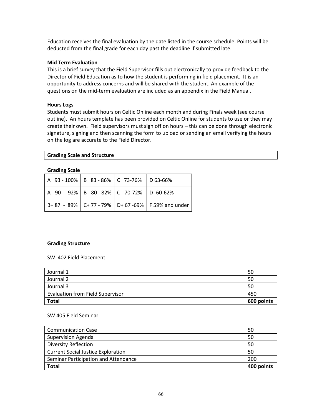Education receives the final evaluation by the date listed in the course schedule. Points will be deducted from the final grade for each day past the deadline if submitted late.

#### **Mid Term Evaluation**

This is a brief survey that the Field Supervisor fills out electronically to provide feedback to the Director of Field Education as to how the student is performing in field placement. It is an opportunity to address concerns and will be shared with the student. An example of the questions on the mid-term evaluation are included as an appendix in the Field Manual.

### **Hours Logs**

Students must submit hours on Celtic Online each month and during Finals week (see course outline). An hours template has been provided on Celtic Online for students to use or they may create their own. Field supervisors must sign off on hours – this can be done through electronic signature, signing and then scanning the form to upload or sending an email verifying the hours on the log are accurate to the Field Director.

### **Grading Scale and Structure**

| <b>Grading Scale</b> |  |
|----------------------|--|
|----------------------|--|

| A 93 - 100%   B 83 - 86%   C 73-76%   D 63-66% |  |                                                          |
|------------------------------------------------|--|----------------------------------------------------------|
| A-90-92% B-80-82% C-70-72% D-60-62%            |  |                                                          |
|                                                |  | B+ 87 - 89%   C+ 77 - 79%   D+ 67 -69%   F 59% and under |

#### **Grading Structure**

SW 402 Field Placement

| Journal 1                               | 50         |
|-----------------------------------------|------------|
| Journal 2                               | 50         |
| Journal 3                               | 50         |
| <b>Evaluation from Field Supervisor</b> | 450        |
| <b>Total</b>                            | 600 points |

### SW 405 Field Seminar

| <b>Communication Case</b>                 | 50         |
|-------------------------------------------|------------|
| <b>Supervision Agenda</b>                 | 50         |
| <b>Diversity Reflection</b>               | 50         |
| <b>Current Social Justice Exploration</b> | 50         |
| Seminar Participation and Attendance      | 200        |
| Total                                     | 400 points |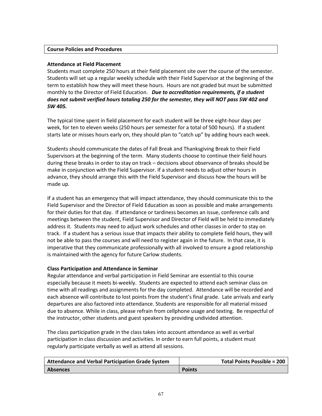# **Course Policies and Procedures**

### **Attendance at Field Placement**

Students must complete 250 hours at their field placement site over the course of the semester. Students will set up a regular weekly schedule with their Field Supervisor at the beginning of the term to establish how they will meet these hours. Hours are not graded but must be submitted monthly to the Director of Field Education. *Due to accreditation requirements, if a student does not submit verified hours totaling 250 for the semester, they will NOT pass SW 402 and SW 405.* 

The typical time spent in field placement for each student will be three eight-hour days per week, for ten to eleven weeks (250 hours per semester for a total of 500 hours). If a student starts late or misses hours early on, they should plan to "catch up" by adding hours each week.

Students should communicate the dates of Fall Break and Thanksgiving Break to their Field Supervisors at the beginning of the term. Many students choose to continue their field hours during these breaks in order to stay on track – decisions about observance of breaks should be make in conjunction with the Field Supervisor. If a student needs to adjust other hours in advance, they should arrange this with the Field Supervisor and discuss how the hours will be made up.

If a student has an emergency that will impact attendance, they should communicate this to the Field Supervisor and the Director of Field Education as soon as possible and make arrangements for their duties for that day. If attendance or tardiness becomes an issue, conference calls and meetings between the student, Field Supervisor and Director of Field will be held to immediately address it. Students may need to adjust work schedules and other classes in order to stay on track. If a student has a serious issue that impacts their ability to complete field hours, they will not be able to pass the courses and will need to register again in the future. In that case, it is imperative that they communicate professionally with all involved to ensure a good relationship is maintained with the agency for future Carlow students.

### **Class Participation and Attendance in Seminar**

Regular attendance and verbal participation in Field Seminar are essential to this course especially because it meets bi-weekly. Students are expected to attend each seminar class on time with all readings and assignments for the day completed. Attendance will be recorded and each absence will contribute to lost points from the student's final grade. Late arrivals and early departures are also factored into attendance. Students are responsible for all material missed due to absence. While in class, please refrain from cellphone usage and texting. Be respectful of the instructor, other students and guest speakers by providing undivided attention.

The class participation grade in the class takes into account attendance as well as verbal participation in class discussion and activities. In order to earn full points, a student must regularly participate verbally as well as attend all sessions.

| Attendance and Verbal Participation Grade System | <b>Total Points Possible = 200</b> |
|--------------------------------------------------|------------------------------------|
| <b>Absences</b>                                  | <b>Points</b>                      |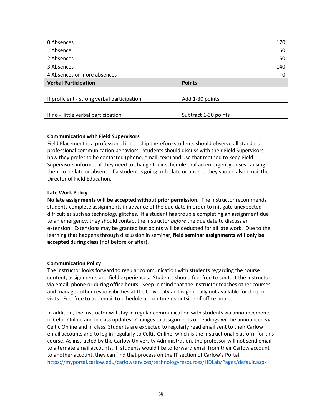| 0 Absences                                  | 170                  |
|---------------------------------------------|----------------------|
| 1 Absence                                   | 160                  |
| 2 Absences                                  | 150                  |
| 3 Absences                                  | 140                  |
| 4 Absences or more absences                 |                      |
| <b>Verbal Participation</b>                 | <b>Points</b>        |
|                                             |                      |
| If proficient - strong verbal participation | Add 1-30 points      |
|                                             |                      |
| If no - little verbal participation         | Subtract 1-30 points |

# **Communication with Field Supervisors**

Field Placement is a professional internship therefore students should observe all standard professional communication behaviors. Students should discuss with their Field Supervisors how they prefer to be contacted (phone, email, text) and use that method to keep Field Supervisors informed if they need to change their schedule or if an emergency arises causing them to be late or absent. If a student is going to be late or absent, they should also email the Director of Field Education.

# **Late Work Policy**

**No late assignments will be accepted without prior permission.** The instructor recommends students complete assignments in advance of the due date in order to mitigate unexpected difficulties such as technology glitches. If a student has trouble completing an assignment due to an emergency, they should contact the instructor *before* the due date to discuss an extension. Extensions may be granted but points will be deducted for all late work. Due to the learning that happens through discussion in seminar, **field seminar assignments will only be accepted during class** (not before or after).

# **Communication Policy**

The instructor looks forward to regular communication with students regarding the course content, assignments and field experiences. Students should feel free to contact the instructor via email, phone or during office hours. Keep in mind that the instructor teaches other courses and manages other responsibilities at the University and is generally not available for drop-in visits. Feel free to use email to schedule appointments outside of office hours.

In addition, the instructor will stay in regular communication with students via announcements in Celtic Online and in class updates. Changes to assignments or readings will be announced via Celtic Online and in class. Students are expected to regularly read email sent to their Carlow email accounts and to log in regularly to Celtic Online, which is the instructional platform for this course. As instructed by the Carlow University Administration, the professor will not send email to alternate email accounts. If students would like to forward email from their Carlow account to another account, they can find that process on the IT section of Carlow's Portal: <https://myportal.carlow.edu/carlowservices/technologyresources/HDLab/Pages/default.aspx>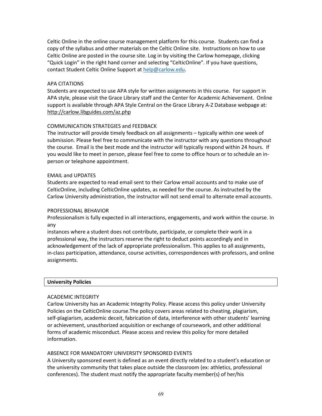Celtic Online in the online course management platform for this course. Students can find a copy of the syllabus and other materials on the Celtic Online site. Instructions on how to use Celtic Online are posted in the course site. Log in by visiting the Carlow homepage, clicking "Quick Login" in the right hand corner and selecting "CelticOnline". If you have questions, contact Student Celtic Online Support at [help@carlow.edu.](mailto:help@carlow.edu)

### APA CITATIONS

Students are expected to use APA style for written assignments in this course. For support in APA style, please visit the Grace Library staff and the Center for Academic Achievement. Online support is available through APA Style Central on the Grace Library A-Z Database webpage at: http://carlow.libguides.com/az.php

# COMMUNICATION STRATEGIES and FEEDBACK

The instructor will provide timely feedback on all assignments – typically within one week of submission. Please feel free to communicate with the instructor with any questions throughout the course. Email is the best mode and the instructor will typically respond within 24 hours. If you would like to meet in person, please feel free to come to office hours or to schedule an inperson or telephone appointment.

### EMAIL and UPDATES

Students are expected to read email sent to their Carlow email accounts and to make use of CelticOnline, including CelticOnline updates, as needed for the course. As instructed by the Carlow University administration, the instructor will not send email to alternate email accounts.

### PROFESSIONAL BEHAVIOR

Professionalism is fully expected in all interactions, engagements, and work within the course. In any

instances where a student does not contribute, participate, or complete their work in a professional way, the instructors reserve the right to deduct points accordingly and in acknowledgement of the lack of appropriate professionalism. This applies to all assignments, in-class participation, attendance, course activities, correspondences with professors, and online assignments.

### **University Policies**

### ACADEMIC INTEGRITY

Carlow University has an Academic Integrity Policy. Please access this policy under University Policies on the CelticOnline course.The policy covers areas related to cheating, plagiarism, self-plagiarism, academic deceit, fabrication of data, interference with other students' learning or achievement, unauthorized acquisition or exchange of coursework, and other additional forms of academic misconduct. Please access and review this policy for more detailed information.

### ABSENCE FOR MANDATORY UNIVERSITY SPONSORED EVENTS

A University sponsored event is defined as an event directly related to a student's education or the university community that takes place outside the classroom (ex: athletics, professional conferences). The student must notify the appropriate faculty member(s) of her/his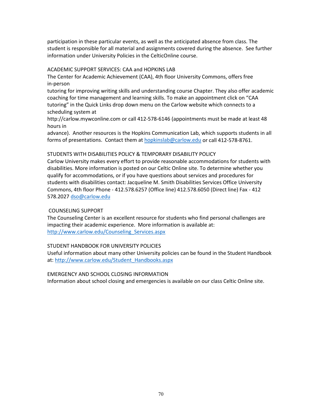participation in these particular events, as well as the anticipated absence from class. The student is responsible for all material and assignments covered during the absence. See further information under University Policies in the CelticOnline course.

### ACADEMIC SUPPORT SERVICES: CAA and HOPKINS LAB

The Center for Academic Achievement (CAA), 4th floor University Commons, offers free in-person

tutoring for improving writing skills and understanding course Chapter. They also offer academic coaching for time management and learning skills. To make an appointment click on "CAA tutoring" in the Quick Links drop down menu on the Carlow website which connects to a scheduling system at

http://carlow.mywconline.com or call 412-578-6146 (appointments must be made at least 48 hours in

advance). Another resources is the Hopkins Communication Lab, which supports students in all forms of presentations. Contact them a[t hopkinslab@carlow.edu](http://carlow.edu/) or call 412-578-8761.

# STUDENTS WITH DISABILITIES POLICY & TEMPORARY DISABILITY POLICY

Carlow University makes every effort to provide reasonable accommodations for students with disabilities. More information is posted on our Celtic Online site. To determine whether you qualify for accommodations, or if you have questions about services and procedures for students with disabilities contact: Jacqueline M. Smith Disabilities Services Office University Commons, 4th floor Phone - 412.578.6257 (Office line) 412.578.6050 (Direct line) Fax - 412 578.2027 [dso@carlow.edu](mailto:dso@carlow.edu)

# COUNSELING SUPPORT

The Counseling Center is an excellent resource for students who find personal challenges are impacting their academic experience. More information is available at: [http://www.carlow.edu/Counseling\\_Services.aspx](http://www.carlow.edu/Counseling_Services.aspx)

### STUDENT HANDBOOK FOR UNIVERSITY POLICIES

Useful information about many other University policies can be found in the Student Handbook at: [http://www.carlow.edu/Student\\_Handbooks.aspx](http://www.carlow.edu/Student_Handbooks.aspx)

### EMERGENCY AND SCHOOL CLOSING INFORMATION

Information about school closing and emergencies is available on our class Celtic Online site.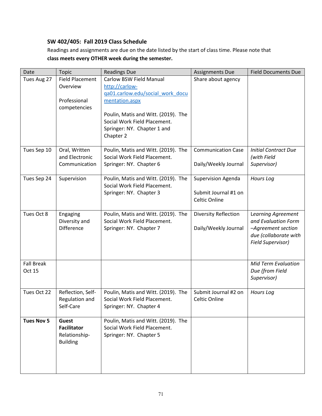# **SW 402/405: Fall 2019 Class Schedule**

Readings and assignments are due on the date listed by the start of class time. Please note that **class meets every OTHER week during the semester.**

| Date              | <b>Topic</b>                | <b>Readings Due</b>                                                 | <b>Assignments Due</b>      | <b>Field Documents Due</b>                  |
|-------------------|-----------------------------|---------------------------------------------------------------------|-----------------------------|---------------------------------------------|
| Tues Aug 27       | <b>Field Placement</b>      | Carlow BSW Field Manual                                             | Share about agency          |                                             |
|                   | Overview                    | http://carlow-                                                      |                             |                                             |
|                   |                             | qa01.carlow.edu/social work docu                                    |                             |                                             |
|                   | Professional                | mentation.aspx                                                      |                             |                                             |
|                   | competencies                |                                                                     |                             |                                             |
|                   |                             | Poulin, Matis and Witt. (2019). The                                 |                             |                                             |
|                   |                             | Social Work Field Placement.                                        |                             |                                             |
|                   |                             | Springer: NY. Chapter 1 and                                         |                             |                                             |
|                   |                             | Chapter 2                                                           |                             |                                             |
| Tues Sep 10       | Oral, Written               | Poulin, Matis and Witt. (2019). The                                 | <b>Communication Case</b>   | <b>Initial Contract Due</b>                 |
|                   | and Electronic              | Social Work Field Placement.                                        |                             | (with Field                                 |
|                   | Communication               | Springer: NY. Chapter 6                                             | Daily/Weekly Journal        | Supervisor)                                 |
|                   |                             |                                                                     |                             |                                             |
| Tues Sep 24       | Supervision                 | Poulin, Matis and Witt. (2019). The                                 | <b>Supervision Agenda</b>   | <b>Hours Log</b>                            |
|                   |                             | Social Work Field Placement.                                        |                             |                                             |
|                   |                             | Springer: NY. Chapter 3                                             | Submit Journal #1 on        |                                             |
|                   |                             |                                                                     | Celtic Online               |                                             |
|                   |                             |                                                                     |                             |                                             |
| Tues Oct 8        | Engaging                    | Poulin, Matis and Witt. (2019). The                                 | <b>Diversity Reflection</b> | Learning Agreement                          |
|                   | Diversity and               | Social Work Field Placement.                                        |                             | and Evaluation Form                         |
|                   | Difference                  | Springer: NY. Chapter 7                                             | Daily/Weekly Journal        | -Agreement section<br>due (collaborate with |
|                   |                             |                                                                     |                             | Field Supervisor)                           |
|                   |                             |                                                                     |                             |                                             |
|                   |                             |                                                                     |                             |                                             |
| <b>Fall Break</b> |                             |                                                                     |                             | <b>Mid Term Evaluation</b>                  |
| Oct 15            |                             |                                                                     |                             | Due (from Field                             |
|                   |                             |                                                                     |                             | Supervisor)                                 |
|                   |                             |                                                                     |                             |                                             |
| Tues Oct 22       | Reflection, Self-           | Poulin, Matis and Witt. (2019). The<br>Social Work Field Placement. | Submit Journal #2 on        | Hours Log                                   |
|                   | Regulation and<br>Self-Care | Springer: NY. Chapter 4                                             | Celtic Online               |                                             |
|                   |                             |                                                                     |                             |                                             |
| <b>Tues Nov 5</b> | <b>Guest</b>                | Poulin, Matis and Witt. (2019). The                                 |                             |                                             |
|                   | <b>Facilitator</b>          | Social Work Field Placement.                                        |                             |                                             |
|                   | Relationship-               | Springer: NY. Chapter 5                                             |                             |                                             |
|                   | <b>Building</b>             |                                                                     |                             |                                             |
|                   |                             |                                                                     |                             |                                             |
|                   |                             |                                                                     |                             |                                             |
|                   |                             |                                                                     |                             |                                             |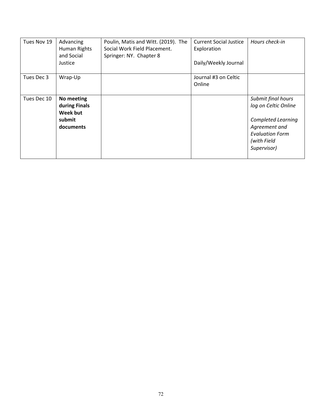| Tues Nov 19 | Advancing<br>Human Rights<br>and Social<br>Justice             | Poulin, Matis and Witt. (2019). The<br>Social Work Field Placement.<br>Springer: NY. Chapter 8 | <b>Current Social Justice</b><br>Exploration<br>Daily/Weekly Journal | Hours check-in                                                                                                                                   |
|-------------|----------------------------------------------------------------|------------------------------------------------------------------------------------------------|----------------------------------------------------------------------|--------------------------------------------------------------------------------------------------------------------------------------------------|
| Tues Dec 3  | Wrap-Up                                                        |                                                                                                | Journal #3 on Celtic<br>Online                                       |                                                                                                                                                  |
| Tues Dec 10 | No meeting<br>during Finals<br>Week but<br>submit<br>documents |                                                                                                |                                                                      | Submit final hours<br>log on Celtic Online<br><b>Completed Learning</b><br>Agreement and<br><b>Evaluation Form</b><br>(with Field<br>Supervisor) |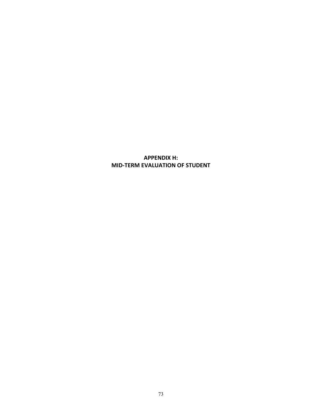**APPENDIX H: MID-TERM EVALUATION OF STUDENT**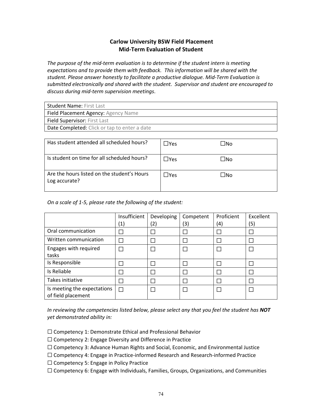# **Carlow University BSW Field Placement Mid-Term Evaluation of Student**

*The purpose of the mid-term evaluation is to determine if the student intern is meeting expectations and to provide them with feedback. This information will be shared with the student. Please answer honestly to facilitate a productive dialogue. Mid-Term Evaluation is submitted electronically and shared with the student. Supervisor and student are encouraged to discuss during mid-term supervision meetings*.

| Field Placement Agency: Agency Name          |
|----------------------------------------------|
|                                              |
| <b>Field Supervisor: First Last</b>          |
| Date Completed: Click or tap to enter a date |

| Has student attended all scheduled hours?                    | $\Box$ Yes    | ⊿No |
|--------------------------------------------------------------|---------------|-----|
| Is student on time for all scheduled hours?                  | $\Box$ Yes    | ⊿No |
| Are the hours listed on the student's Hours<br>Log accurate? | $\exists$ Yes | ⊿No |

*On a scale of 1-5, please rate the following of the student:*

|                                                   | Insufficient | Developing | Competent | Proficient | Excellent |
|---------------------------------------------------|--------------|------------|-----------|------------|-----------|
|                                                   | (1)          | (2)        | (3)       | (4)        | (5)       |
| Oral communication                                |              |            |           |            |           |
| Written communication                             |              |            |           |            |           |
| Engages with required<br>tasks                    |              |            |           |            |           |
| Is Responsible                                    |              |            |           |            |           |
| Is Reliable                                       |              |            |           |            |           |
| Takes initiative                                  |              |            |           |            |           |
| Is meeting the expectations<br>of field placement | г            |            |           |            |           |

*In reviewing the competencies listed below, please select any that you feel the student has NOT yet demonstrated ability in:*

☐ Competency 1: Demonstrate Ethical and Professional Behavior

- ☐ Competency 2: Engage Diversity and Difference in Practice
- $\Box$  Competency 3: Advance Human Rights and Social, Economic, and Environmental Justice
- ☐ Competency 4: Engage in Practice-informed Research and Research-informed Practice

☐ Competency 5: Engage in Policy Practice

☐ Competency 6: Engage with Individuals, Families, Groups, Organizations, and Communities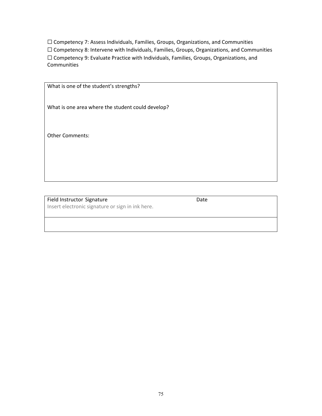☐ Competency 7: Assess Individuals, Families, Groups, Organizations, and Communities ☐ Competency 8: Intervene with Individuals, Families, Groups, Organizations, and Communities ☐ Competency 9: Evaluate Practice with Individuals, Families, Groups, Organizations, and Communities

| What is one of the student's strengths?           |
|---------------------------------------------------|
|                                                   |
|                                                   |
|                                                   |
|                                                   |
| What is one area where the student could develop? |
|                                                   |
|                                                   |
|                                                   |
|                                                   |
|                                                   |
| <b>Other Comments:</b>                            |
|                                                   |
|                                                   |
|                                                   |
|                                                   |
|                                                   |
|                                                   |
|                                                   |
|                                                   |
|                                                   |
|                                                   |

Field Instructor Signature Date Insert electronic signature or sign in ink here.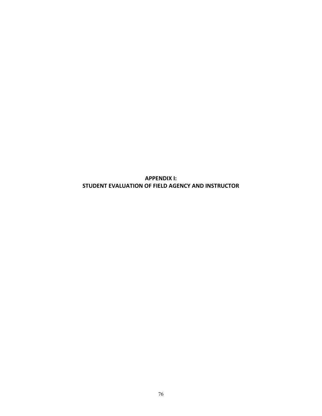**APPENDIX I: STUDENT EVALUATION OF FIELD AGENCY AND INSTRUCTOR**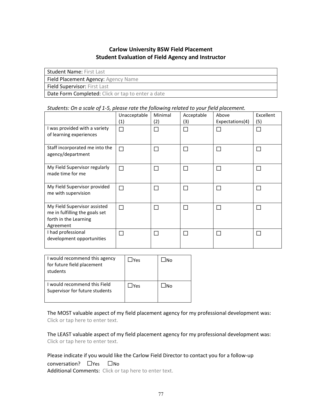# **Carlow University BSW Field Placement Student Evaluation of Field Agency and Instructor**

| <b>Student Name: First Last</b>                   |
|---------------------------------------------------|
| Field Placement Agency: Agency Name               |
| <b>Field Supervisor: First Last</b>               |
| Date Form Completed: Click or tap to enter a date |

### *Students: On a scale of 1-5, please rate the following related to your field placement.*

|                                                                                                      | Unacceptable<br>$\left( 1\right)$ | Minimal<br>(2) | Acceptable<br>(3) | Above<br>Expectations(4) | Excellent<br>(5) |
|------------------------------------------------------------------------------------------------------|-----------------------------------|----------------|-------------------|--------------------------|------------------|
| I was provided with a variety<br>of learning experiences                                             | П                                 |                |                   |                          |                  |
| Staff incorporated me into the<br>agency/department                                                  | П                                 |                | L                 |                          |                  |
| My Field Supervisor regularly<br>made time for me                                                    | □                                 |                |                   |                          |                  |
| My Field Supervisor provided<br>me with supervision                                                  | П                                 |                |                   |                          |                  |
| My Field Supervisor assisted<br>me in fulfilling the goals set<br>forth in the Learning<br>Agreement | П                                 |                | Г                 |                          |                  |
| I had professional<br>development opportunities                                                      | П                                 |                |                   |                          |                  |

| I would recommend this agency<br>for future field placement<br>students | <b>IYes</b> | lNo |
|-------------------------------------------------------------------------|-------------|-----|
| I would recommend this Field<br>Supervisor for future students          | <b>IYes</b> | lNo |

The MOST valuable aspect of my field placement agency for my professional development was: Click or tap here to enter text.

The LEAST valuable aspect of my field placement agency for my professional development was: Click or tap here to enter text.

Please indicate if you would like the Carlow Field Director to contact you for a follow-up conversation? ☐Yes ☐No Additional Comments: Click or tap here to enter text.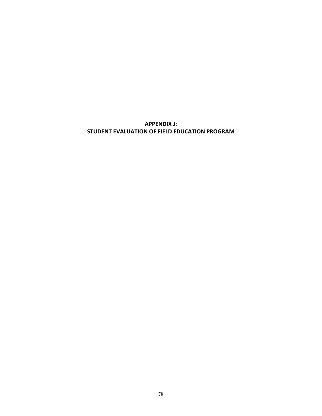**APPENDIX J: STUDENT EVALUATION OF FIELD EDUCATION PROGRAM**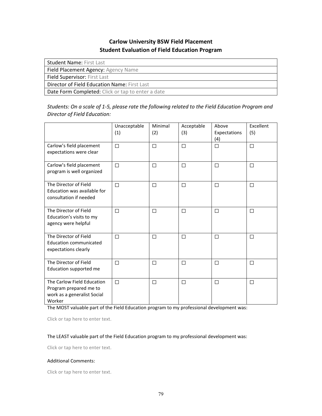# **Carlow University BSW Field Placement Student Evaluation of Field Education Program**

| <b>Student Name: First Last</b>                     |
|-----------------------------------------------------|
| Field Placement Agency: Agency Name                 |
| <b>Field Supervisor: First Last</b>                 |
| <b>Director of Field Education Name: First Last</b> |
| Date Form Completed: Click or tap to enter a date   |

*Students: On a scale of 1-5, please rate the following related to the Field Education Program and Director of Field Education:*

|                                                                                               | Unacceptable<br>(1) | Minimal<br>(2) | Acceptable<br>(3) | Above<br>Expectations<br>(4) | Excellent<br>(5) |
|-----------------------------------------------------------------------------------------------|---------------------|----------------|-------------------|------------------------------|------------------|
| Carlow's field placement<br>expectations were clear                                           | $\Box$              | $\Box$         | $\Box$            | П                            | $\Box$           |
| Carlow's field placement<br>program is well organized                                         | $\Box$              | П              | П                 | П                            | П                |
| The Director of Field<br>Education was available for<br>consultation if needed                | $\Box$              | П              | $\Box$            | П                            | П                |
| The Director of Field<br>Education's visits to my<br>agency were helpful                      | П                   | П              | $\Box$            | П                            | П                |
| The Director of Field<br><b>Education communicated</b><br>expectations clearly                | П                   | П              | $\Box$            | П                            | П                |
| The Director of Field<br>Education supported me                                               | $\Box$              | □              | $\Box$            | $\Box$                       | $\Box$           |
| The Carlow Field Education<br>Program prepared me to<br>work as a generalist Social<br>Worker | $\Box$              | П              | $\Box$            | П                            | П                |

The MOST valuable part of the Field Education program to my professional development was:

Click or tap here to enter text.

#### The LEAST valuable part of the Field Education program to my professional development was:

Click or tap here to enter text.

#### Additional Comments:

Click or tap here to enter text.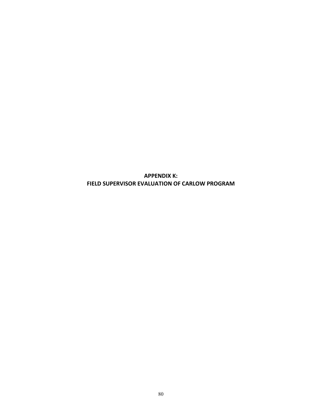**APPENDIX K: FIELD SUPERVISOR EVALUATION OF CARLOW PROGRAM**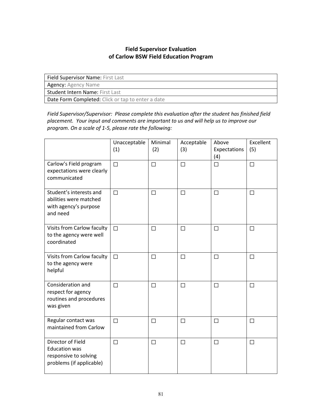# **Field Supervisor Evaluation of Carlow BSW Field Education Program**

Field Supervisor Name: First Last

Agency: Agency Name

Student Intern Name: First Last

Date Form Completed: Click or tap to enter a date

*Field Supervisor/Supervisor: Please complete this evaluation after the student has finished field placement. Your input and comments are important to us and will help us to improve our program. On a scale of 1-5, please rate the following:*

|                                                                                                | Unacceptable<br>(1) | Minimal<br>(2) | Acceptable<br>(3) | Above<br>Expectations<br>(4) | Excellent<br>(5) |
|------------------------------------------------------------------------------------------------|---------------------|----------------|-------------------|------------------------------|------------------|
| Carlow's Field program<br>expectations were clearly<br>communicated                            | $\Box$              | $\Box$         | $\Box$            | $\Box$                       | $\Box$           |
| Student's interests and<br>abilities were matched<br>with agency's purpose<br>and need         | $\Box$              | П              | $\Box$            | $\Box$                       | $\Box$           |
| Visits from Carlow faculty<br>to the agency were well<br>coordinated                           | $\Box$              | П              | $\Box$            | П                            | П                |
| Visits from Carlow faculty<br>to the agency were<br>helpful                                    | $\Box$              | П              | $\Box$            | П                            | П                |
| Consideration and<br>respect for agency<br>routines and procedures<br>was given                | $\Box$              | П              | $\Box$            | П                            | $\Box$           |
| Regular contact was<br>maintained from Carlow                                                  | $\Box$              | □              | $\Box$            | □                            | □                |
| Director of Field<br><b>Education was</b><br>responsive to solving<br>problems (if applicable) | $\Box$              | □              | $\Box$            | □                            | $\Box$           |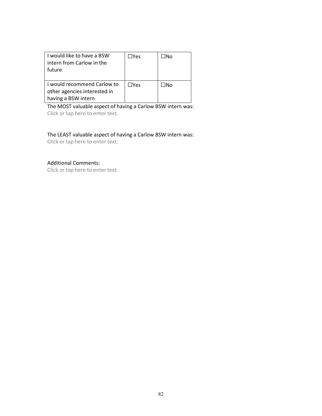| I would like to have a BSW<br>intern from Carlow in the<br>future                  | $\Box$ Yes | - INo |
|------------------------------------------------------------------------------------|------------|-------|
| I would recommend Carlow to<br>other agencies interested in<br>having a BSW intern | $\Box$ Yes | −lN∩  |

The MOST valuable aspect of having a Carlow BSW intern was: Click or tap here to enter text.

The LEAST valuable aspect of having a Carlow BSW intern was: Click or tap here to enter text.

## Additional Comments:

Click or tap here to enter text.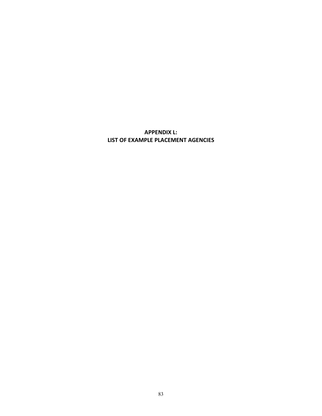**APPENDIX L: LIST OF EXAMPLE PLACEMENT AGENCIES**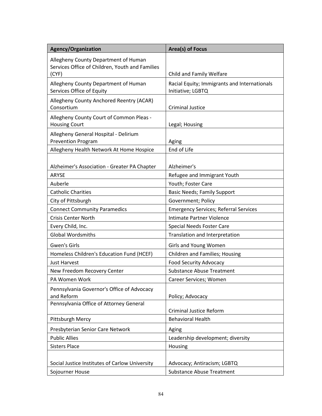| <b>Agency/Organization</b>                                                                       | Area(s) of Focus                                                  |
|--------------------------------------------------------------------------------------------------|-------------------------------------------------------------------|
| Allegheny County Department of Human<br>Services Office of Children, Youth and Families<br>(CYF) | Child and Family Welfare                                          |
| Allegheny County Department of Human<br>Services Office of Equity                                | Racial Equity; Immigrants and Internationals<br>Initiative; LGBTQ |
| Allegheny County Anchored Reentry (ACAR)<br>Consortium                                           | <b>Criminal Justice</b>                                           |
| Allegheny County Court of Common Pleas -<br><b>Housing Court</b>                                 | Legal; Housing                                                    |
| Allegheny General Hospital - Delirium<br><b>Prevention Program</b>                               | Aging                                                             |
| Allegheny Health Network At Home Hospice                                                         | End of Life                                                       |
| Alzheimer's Association - Greater PA Chapter                                                     | Alzheimer's                                                       |
| <b>ARYSE</b>                                                                                     | Refugee and Immigrant Youth                                       |
| Auberle                                                                                          | Youth; Foster Care                                                |
| <b>Catholic Charities</b>                                                                        | <b>Basic Needs; Family Support</b>                                |
| City of Pittsburgh                                                                               | Government; Policy                                                |
| <b>Connect Community Paramedics</b>                                                              | <b>Emergency Services; Referral Services</b>                      |
| <b>Crisis Center North</b>                                                                       | Intimate Partner Violence                                         |
| Every Child, Inc.                                                                                | Special Needs Foster Care                                         |
| <b>Global Wordsmiths</b>                                                                         | Translation and Interpretation                                    |
| <b>Gwen's Girls</b>                                                                              | Girls and Young Women                                             |
| Homeless Children's Education Fund (HCEF)                                                        | Children and Families; Housing                                    |
| <b>Just Harvest</b>                                                                              | <b>Food Security Advocacy</b>                                     |
| New Freedom Recovery Center                                                                      | <b>Substance Abuse Treatment</b>                                  |
| PA Women Work                                                                                    | Career Services; Women                                            |
| Pennsylvania Governor's Office of Advocacy<br>and Reform                                         | Policy; Advocacy                                                  |
| Pennsylvania Office of Attorney General                                                          |                                                                   |
|                                                                                                  | <b>Criminal Justice Reform</b>                                    |
| Pittsburgh Mercy                                                                                 | <b>Behavioral Health</b>                                          |
| Presbyterian Senior Care Network                                                                 | Aging                                                             |
| <b>Public Allies</b>                                                                             | Leadership development; diversity                                 |
| <b>Sisters Place</b>                                                                             | Housing                                                           |
| Social Justice Institutes of Carlow University                                                   | Advocacy; Antiracism; LGBTQ                                       |
| Sojourner House                                                                                  | <b>Substance Abuse Treatment</b>                                  |